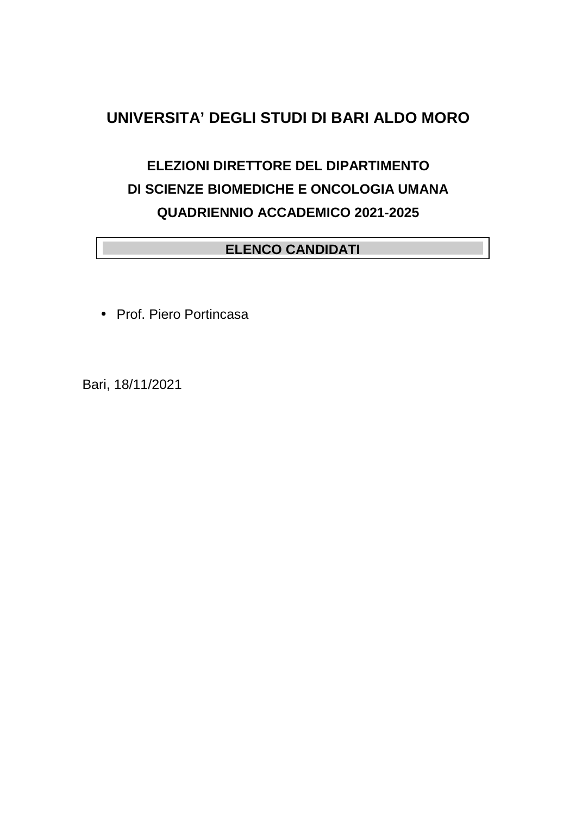## **UNIVERSITA' DEGLI STUDI DI BARI ALDO MORO**

# **ELEZIONI DIRETTORE DEL DIPARTIMENTO DI SCIENZE BIOMEDICHE E ONCOLOGIA UMANA QUADRIENNIO ACCADEMICO 2021-2025**

### **ELENCO CANDIDATI**

• Prof. Piero Portincasa

Bari, 18/11/2021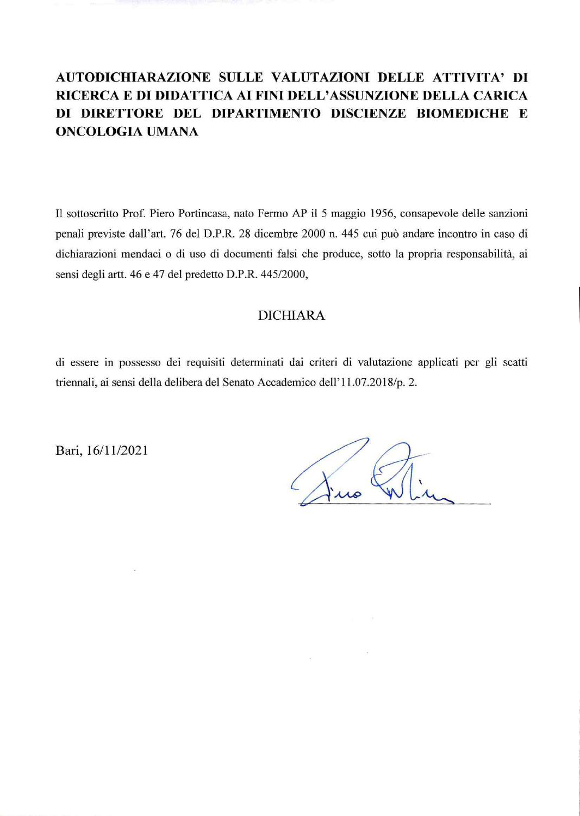## AUTODICHIARAZIONE SULLE VALUTAZIONI DELLE ATTIVITA' DI RICERCA E DI DIDATTICA AI FINI DELL'ASSUNZIONE DELLA CARICA DI DIRETTORE DEL DIPARTIMENTO DISCIENZE BIOMEDICHE E **ONCOLOGIA UMANA**

Il sottoscritto Prof. Piero Portincasa, nato Fermo AP il 5 maggio 1956, consapevole delle sanzioni penali previste dall'art. 76 del D.P.R. 28 dicembre 2000 n. 445 cui può andare incontro in caso di dichiarazioni mendaci o di uso di documenti falsi che produce, sotto la propria responsabilità, ai sensi degli artt. 46 e 47 del predetto D.P.R. 445/2000,

#### **DICHIARA**

di essere in possesso dei requisiti determinati dai criteri di valutazione applicati per gli scatti triennali, ai sensi della delibera del Senato Accademico dell'11.07.2018/p. 2.

 $\bar{\nu}$ 

Bari, 16/11/2021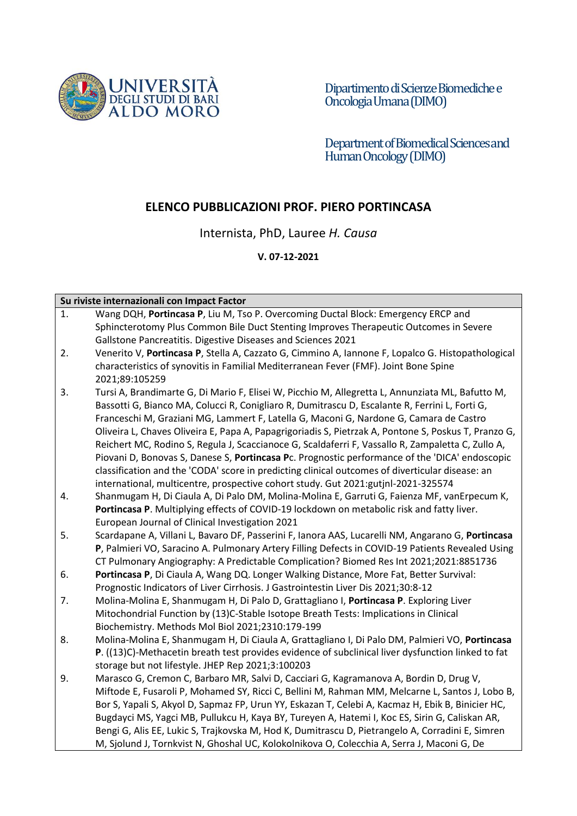

Dipartimentodi Scienze Biomediche e Oncologia Umana (DIMO)

Department of Biomedical Sciences and Human Oncology(DIMO)

#### **ELENCO PUBBLICAZIONI PROF. PIERO PORTINCASA**

Internista, PhD, Lauree *H. Causa*

#### **V. 07-12-2021**

#### **Su riviste internazionali con Impact Factor**

| 1. | Wang DQH, Portincasa P, Liu M, Tso P. Overcoming Ductal Block: Emergency ERCP and                    |
|----|------------------------------------------------------------------------------------------------------|
|    | Sphincterotomy Plus Common Bile Duct Stenting Improves Therapeutic Outcomes in Severe                |
|    | Gallstone Pancreatitis. Digestive Diseases and Sciences 2021                                         |
| 2. | Venerito V, Portincasa P, Stella A, Cazzato G, Cimmino A, Iannone F, Lopalco G. Histopathological    |
|    | characteristics of synovitis in Familial Mediterranean Fever (FMF). Joint Bone Spine                 |
|    | 2021;89:105259                                                                                       |
| 3. | Tursi A, Brandimarte G, Di Mario F, Elisei W, Picchio M, Allegretta L, Annunziata ML, Bafutto M,     |
|    | Bassotti G, Bianco MA, Colucci R, Conigliaro R, Dumitrascu D, Escalante R, Ferrini L, Forti G,       |
|    | Franceschi M, Graziani MG, Lammert F, Latella G, Maconi G, Nardone G, Camara de Castro               |
|    | Oliveira L, Chaves Oliveira E, Papa A, Papagrigoriadis S, Pietrzak A, Pontone S, Poskus T, Pranzo G, |
|    | Reichert MC, Rodino S, Regula J, Scaccianoce G, Scaldaferri F, Vassallo R, Zampaletta C, Zullo A,    |
|    | Piovani D, Bonovas S, Danese S, Portincasa Pc. Prognostic performance of the 'DICA' endoscopic       |
|    | classification and the 'CODA' score in predicting clinical outcomes of diverticular disease: an      |
|    | international, multicentre, prospective cohort study. Gut 2021:gutjnl-2021-325574                    |
| 4. | Shanmugam H, Di Ciaula A, Di Palo DM, Molina-Molina E, Garruti G, Faienza MF, vanErpecum K,          |
|    | Portincasa P. Multiplying effects of COVID-19 lockdown on metabolic risk and fatty liver.            |
|    | European Journal of Clinical Investigation 2021                                                      |
| 5. | Scardapane A, Villani L, Bavaro DF, Passerini F, Ianora AAS, Lucarelli NM, Angarano G, Portincasa    |
|    | P, Palmieri VO, Saracino A. Pulmonary Artery Filling Defects in COVID-19 Patients Revealed Using     |
|    | CT Pulmonary Angiography: A Predictable Complication? Biomed Res Int 2021;2021:8851736               |
| 6. | Portincasa P, Di Ciaula A, Wang DQ. Longer Walking Distance, More Fat, Better Survival:              |
|    | Prognostic Indicators of Liver Cirrhosis. J Gastrointestin Liver Dis 2021;30:8-12                    |
| 7. | Molina-Molina E, Shanmugam H, Di Palo D, Grattagliano I, Portincasa P. Exploring Liver               |
|    | Mitochondrial Function by (13)C-Stable Isotope Breath Tests: Implications in Clinical                |
|    | Biochemistry. Methods Mol Biol 2021;2310:179-199                                                     |
| 8. | Molina-Molina E, Shanmugam H, Di Ciaula A, Grattagliano I, Di Palo DM, Palmieri VO, Portincasa       |
|    | P. ((13)C)-Methacetin breath test provides evidence of subclinical liver dysfunction linked to fat   |
|    | storage but not lifestyle. JHEP Rep 2021;3:100203                                                    |
| 9. | Marasco G, Cremon C, Barbaro MR, Salvi D, Cacciari G, Kagramanova A, Bordin D, Drug V,               |
|    | Miftode E, Fusaroli P, Mohamed SY, Ricci C, Bellini M, Rahman MM, Melcarne L, Santos J, Lobo B,      |
|    | Bor S, Yapali S, Akyol D, Sapmaz FP, Urun YY, Eskazan T, Celebi A, Kacmaz H, Ebik B, Binicier HC,    |
|    | Bugdayci MS, Yagci MB, Pullukcu H, Kaya BY, Tureyen A, Hatemi I, Koc ES, Sirin G, Caliskan AR,       |
|    | Bengi G, Alis EE, Lukic S, Trajkovska M, Hod K, Dumitrascu D, Pietrangelo A, Corradini E, Simren     |
|    | M, Sjolund J, Tornkvist N, Ghoshal UC, Kolokolnikova O, Colecchia A, Serra J, Maconi G, De           |
|    |                                                                                                      |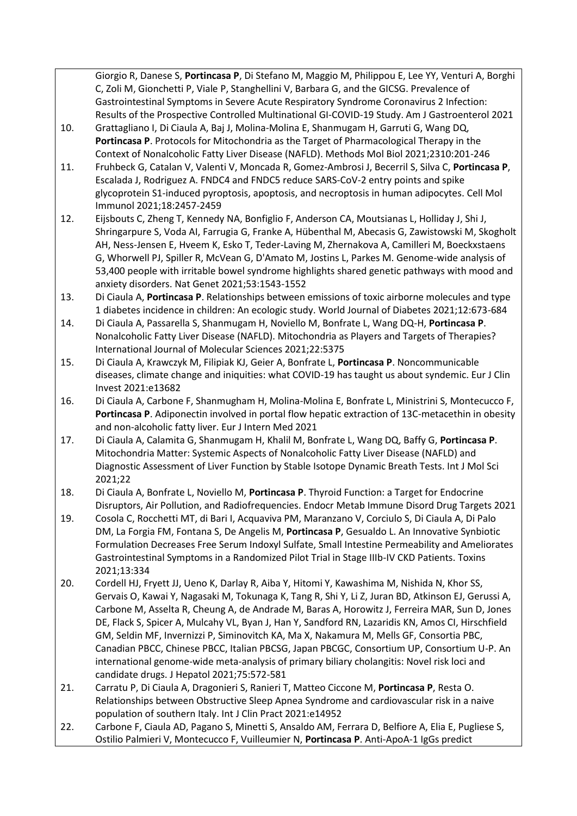Giorgio R, Danese S, **Portincasa P**, Di Stefano M, Maggio M, Philippou E, Lee YY, Venturi A, Borghi C, Zoli M, Gionchetti P, Viale P, Stanghellini V, Barbara G, and the GICSG. Prevalence of Gastrointestinal Symptoms in Severe Acute Respiratory Syndrome Coronavirus 2 Infection: Results of the Prospective Controlled Multinational GI-COVID-19 Study. Am J Gastroenterol 2021

- 10. Grattagliano I, Di Ciaula A, Baj J, Molina-Molina E, Shanmugam H, Garruti G, Wang DQ, **Portincasa P**. Protocols for Mitochondria as the Target of Pharmacological Therapy in the Context of Nonalcoholic Fatty Liver Disease (NAFLD). Methods Mol Biol 2021;2310:201-246
- 11. Fruhbeck G, Catalan V, Valenti V, Moncada R, Gomez-Ambrosi J, Becerril S, Silva C, **Portincasa P**, Escalada J, Rodriguez A. FNDC4 and FNDC5 reduce SARS-CoV-2 entry points and spike glycoprotein S1-induced pyroptosis, apoptosis, and necroptosis in human adipocytes. Cell Mol Immunol 2021;18:2457-2459
- 12. Eijsbouts C, Zheng T, Kennedy NA, Bonfiglio F, Anderson CA, Moutsianas L, Holliday J, Shi J, Shringarpure S, Voda AI, Farrugia G, Franke A, Hübenthal M, Abecasis G, Zawistowski M, Skogholt AH, Ness-Jensen E, Hveem K, Esko T, Teder-Laving M, Zhernakova A, Camilleri M, Boeckxstaens G, Whorwell PJ, Spiller R, McVean G, D'Amato M, Jostins L, Parkes M. Genome-wide analysis of 53,400 people with irritable bowel syndrome highlights shared genetic pathways with mood and anxiety disorders. Nat Genet 2021;53:1543-1552
- 13. Di Ciaula A, **Portincasa P**. Relationships between emissions of toxic airborne molecules and type 1 diabetes incidence in children: An ecologic study. World Journal of Diabetes 2021;12:673-684
- 14. Di Ciaula A, Passarella S, Shanmugam H, Noviello M, Bonfrate L, Wang DQ-H, **Portincasa P**. Nonalcoholic Fatty Liver Disease (NAFLD). Mitochondria as Players and Targets of Therapies? International Journal of Molecular Sciences 2021;22:5375
- 15. Di Ciaula A, Krawczyk M, Filipiak KJ, Geier A, Bonfrate L, **Portincasa P**. Noncommunicable diseases, climate change and iniquities: what COVID-19 has taught us about syndemic. Eur J Clin Invest 2021:e13682
- 16. Di Ciaula A, Carbone F, Shanmugham H, Molina-Molina E, Bonfrate L, Ministrini S, Montecucco F, **Portincasa P**. Adiponectin involved in portal flow hepatic extraction of 13C-metacethin in obesity and non-alcoholic fatty liver. Eur J Intern Med 2021
- 17. Di Ciaula A, Calamita G, Shanmugam H, Khalil M, Bonfrate L, Wang DQ, Baffy G, **Portincasa P**. Mitochondria Matter: Systemic Aspects of Nonalcoholic Fatty Liver Disease (NAFLD) and Diagnostic Assessment of Liver Function by Stable Isotope Dynamic Breath Tests. Int J Mol Sci 2021;22
- 18. Di Ciaula A, Bonfrate L, Noviello M, **Portincasa P**. Thyroid Function: a Target for Endocrine Disruptors, Air Pollution, and Radiofrequencies. Endocr Metab Immune Disord Drug Targets 2021
- 19. Cosola C, Rocchetti MT, di Bari I, Acquaviva PM, Maranzano V, Corciulo S, Di Ciaula A, Di Palo DM, La Forgia FM, Fontana S, De Angelis M, **Portincasa P**, Gesualdo L. An Innovative Synbiotic Formulation Decreases Free Serum Indoxyl Sulfate, Small Intestine Permeability and Ameliorates Gastrointestinal Symptoms in a Randomized Pilot Trial in Stage IIIb-IV CKD Patients. Toxins 2021;13:334
- 20. Cordell HJ, Fryett JJ, Ueno K, Darlay R, Aiba Y, Hitomi Y, Kawashima M, Nishida N, Khor SS, Gervais O, Kawai Y, Nagasaki M, Tokunaga K, Tang R, Shi Y, Li Z, Juran BD, Atkinson EJ, Gerussi A, Carbone M, Asselta R, Cheung A, de Andrade M, Baras A, Horowitz J, Ferreira MAR, Sun D, Jones DE, Flack S, Spicer A, Mulcahy VL, Byan J, Han Y, Sandford RN, Lazaridis KN, Amos CI, Hirschfield GM, Seldin MF, Invernizzi P, Siminovitch KA, Ma X, Nakamura M, Mells GF, Consortia PBC, Canadian PBCC, Chinese PBCC, Italian PBCSG, Japan PBCGC, Consortium UP, Consortium U-P. An international genome-wide meta-analysis of primary biliary cholangitis: Novel risk loci and candidate drugs. J Hepatol 2021;75:572-581
- 21. Carratu P, Di Ciaula A, Dragonieri S, Ranieri T, Matteo Ciccone M, **Portincasa P**, Resta O. Relationships between Obstructive Sleep Apnea Syndrome and cardiovascular risk in a naive population of southern Italy. Int J Clin Pract 2021:e14952
- 22. Carbone F, Ciaula AD, Pagano S, Minetti S, Ansaldo AM, Ferrara D, Belfiore A, Elia E, Pugliese S, Ostilio Palmieri V, Montecucco F, Vuilleumier N, **Portincasa P**. Anti-ApoA-1 IgGs predict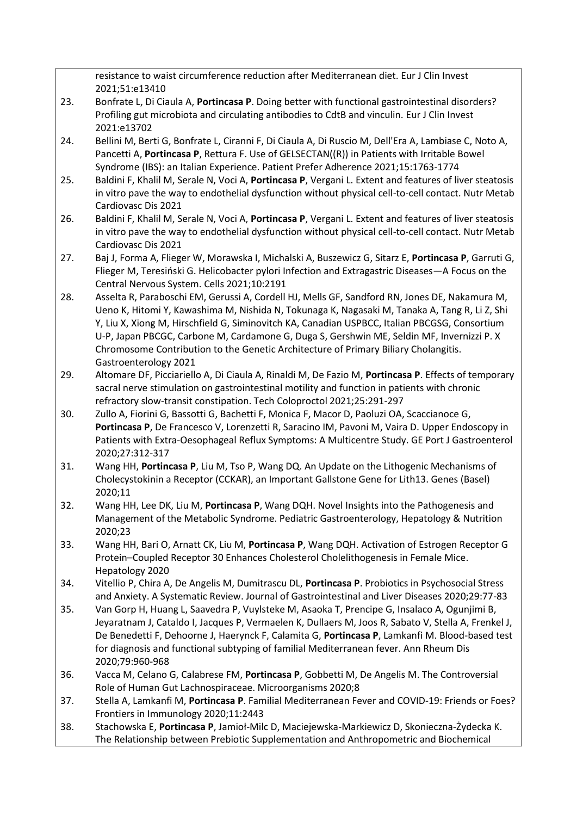resistance to waist circumference reduction after Mediterranean diet. Eur J Clin Invest 2021;51:e13410

- 23. Bonfrate L, Di Ciaula A, **Portincasa P**. Doing better with functional gastrointestinal disorders? Profiling gut microbiota and circulating antibodies to CdtB and vinculin. Eur J Clin Invest 2021:e13702
- 24. Bellini M, Berti G, Bonfrate L, Ciranni F, Di Ciaula A, Di Ruscio M, Dell'Era A, Lambiase C, Noto A, Pancetti A, **Portincasa P**, Rettura F. Use of GELSECTAN((R)) in Patients with Irritable Bowel Syndrome (IBS): an Italian Experience. Patient Prefer Adherence 2021;15:1763-1774
- 25. Baldini F, Khalil M, Serale N, Voci A, **Portincasa P**, Vergani L. Extent and features of liver steatosis in vitro pave the way to endothelial dysfunction without physical cell-to-cell contact. Nutr Metab Cardiovasc Dis 2021
- 26. Baldini F, Khalil M, Serale N, Voci A, **Portincasa P**, Vergani L. Extent and features of liver steatosis in vitro pave the way to endothelial dysfunction without physical cell-to-cell contact. Nutr Metab Cardiovasc Dis 2021
- 27. Baj J, Forma A, Flieger W, Morawska I, Michalski A, Buszewicz G, Sitarz E, **Portincasa P**, Garruti G, Flieger M, Teresiński G. Helicobacter pylori Infection and Extragastric Diseases—A Focus on the Central Nervous System. Cells 2021;10:2191
- 28. Asselta R, Paraboschi EM, Gerussi A, Cordell HJ, Mells GF, Sandford RN, Jones DE, Nakamura M, Ueno K, Hitomi Y, Kawashima M, Nishida N, Tokunaga K, Nagasaki M, Tanaka A, Tang R, Li Z, Shi Y, Liu X, Xiong M, Hirschfield G, Siminovitch KA, Canadian USPBCC, Italian PBCGSG, Consortium U-P, Japan PBCGC, Carbone M, Cardamone G, Duga S, Gershwin ME, Seldin MF, Invernizzi P. X Chromosome Contribution to the Genetic Architecture of Primary Biliary Cholangitis. Gastroenterology 2021
- 29. Altomare DF, Picciariello A, Di Ciaula A, Rinaldi M, De Fazio M, **Portincasa P**. Effects of temporary sacral nerve stimulation on gastrointestinal motility and function in patients with chronic refractory slow-transit constipation. Tech Coloproctol 2021;25:291-297
- 30. Zullo A, Fiorini G, Bassotti G, Bachetti F, Monica F, Macor D, Paoluzi OA, Scaccianoce G, **Portincasa P**, De Francesco V, Lorenzetti R, Saracino IM, Pavoni M, Vaira D. Upper Endoscopy in Patients with Extra-Oesophageal Reflux Symptoms: A Multicentre Study. GE Port J Gastroenterol 2020;27:312-317
- 31. Wang HH, **Portincasa P**, Liu M, Tso P, Wang DQ. An Update on the Lithogenic Mechanisms of Cholecystokinin a Receptor (CCKAR), an Important Gallstone Gene for Lith13. Genes (Basel) 2020;11
- 32. Wang HH, Lee DK, Liu M, **Portincasa P**, Wang DQH. Novel Insights into the Pathogenesis and Management of the Metabolic Syndrome. Pediatric Gastroenterology, Hepatology & Nutrition 2020;23
- 33. Wang HH, Bari O, Arnatt CK, Liu M, **Portincasa P**, Wang DQH. Activation of Estrogen Receptor G Protein–Coupled Receptor 30 Enhances Cholesterol Cholelithogenesis in Female Mice. Hepatology 2020
- 34. Vitellio P, Chira A, De Angelis M, Dumitrascu DL, **Portincasa P**. Probiotics in Psychosocial Stress and Anxiety. A Systematic Review. Journal of Gastrointestinal and Liver Diseases 2020;29:77-83
- 35. Van Gorp H, Huang L, Saavedra P, Vuylsteke M, Asaoka T, Prencipe G, Insalaco A, Ogunjimi B, Jeyaratnam J, Cataldo I, Jacques P, Vermaelen K, Dullaers M, Joos R, Sabato V, Stella A, Frenkel J, De Benedetti F, Dehoorne J, Haerynck F, Calamita G, **Portincasa P**, Lamkanfi M. Blood-based test for diagnosis and functional subtyping of familial Mediterranean fever. Ann Rheum Dis 2020;79:960-968
- 36. Vacca M, Celano G, Calabrese FM, **Portincasa P**, Gobbetti M, De Angelis M. The Controversial Role of Human Gut Lachnospiraceae. Microorganisms 2020;8
- 37. Stella A, Lamkanfi M, **Portincasa P**. Familial Mediterranean Fever and COVID-19: Friends or Foes? Frontiers in Immunology 2020;11:2443
- 38. Stachowska E, **Portincasa P**, Jamioł-Milc D, Maciejewska-Markiewicz D, Skonieczna-Żydecka K. The Relationship between Prebiotic Supplementation and Anthropometric and Biochemical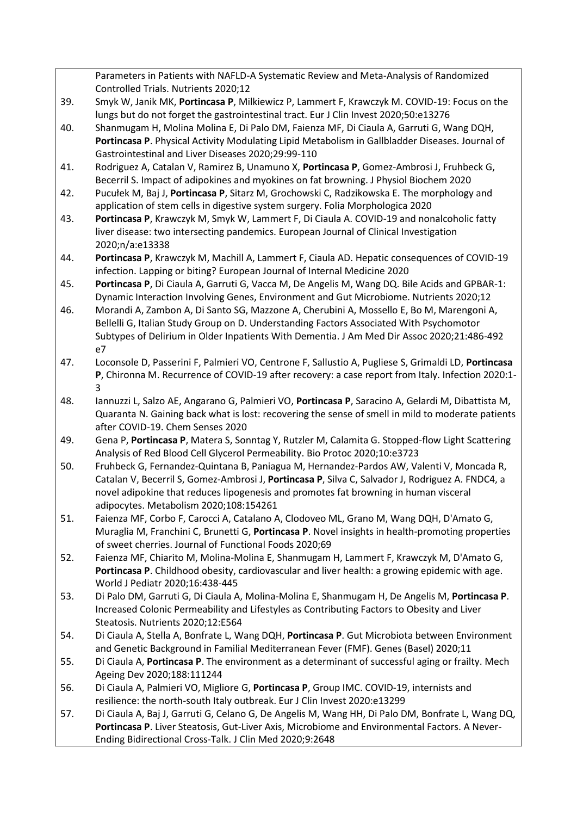|     | Parameters in Patients with NAFLD-A Systematic Review and Meta-Analysis of Randomized                                                                                                    |
|-----|------------------------------------------------------------------------------------------------------------------------------------------------------------------------------------------|
|     | Controlled Trials. Nutrients 2020;12                                                                                                                                                     |
| 39. | Smyk W, Janik MK, Portincasa P, Milkiewicz P, Lammert F, Krawczyk M. COVID-19: Focus on the                                                                                              |
|     | lungs but do not forget the gastrointestinal tract. Eur J Clin Invest 2020;50:e13276                                                                                                     |
| 40. | Shanmugam H, Molina Molina E, Di Palo DM, Faienza MF, Di Ciaula A, Garruti G, Wang DQH,                                                                                                  |
|     | Portincasa P. Physical Activity Modulating Lipid Metabolism in Gallbladder Diseases. Journal of                                                                                          |
|     | Gastrointestinal and Liver Diseases 2020;29:99-110                                                                                                                                       |
| 41. | Rodriguez A, Catalan V, Ramirez B, Unamuno X, Portincasa P, Gomez-Ambrosi J, Fruhbeck G,                                                                                                 |
|     | Becerril S. Impact of adipokines and myokines on fat browning. J Physiol Biochem 2020                                                                                                    |
| 42. | Pucułek M, Baj J, Portincasa P, Sitarz M, Grochowski C, Radzikowska E. The morphology and                                                                                                |
|     | application of stem cells in digestive system surgery. Folia Morphologica 2020                                                                                                           |
| 43. | Portincasa P, Krawczyk M, Smyk W, Lammert F, Di Ciaula A. COVID-19 and nonalcoholic fatty                                                                                                |
|     | liver disease: two intersecting pandemics. European Journal of Clinical Investigation                                                                                                    |
|     | 2020;n/a:e13338                                                                                                                                                                          |
| 44. | Portincasa P, Krawczyk M, Machill A, Lammert F, Ciaula AD. Hepatic consequences of COVID-19                                                                                              |
|     | infection. Lapping or biting? European Journal of Internal Medicine 2020                                                                                                                 |
| 45. | Portincasa P, Di Ciaula A, Garruti G, Vacca M, De Angelis M, Wang DQ. Bile Acids and GPBAR-1:                                                                                            |
|     | Dynamic Interaction Involving Genes, Environment and Gut Microbiome. Nutrients 2020;12                                                                                                   |
| 46. | Morandi A, Zambon A, Di Santo SG, Mazzone A, Cherubini A, Mossello E, Bo M, Marengoni A,                                                                                                 |
|     | Bellelli G, Italian Study Group on D. Understanding Factors Associated With Psychomotor                                                                                                  |
|     | Subtypes of Delirium in Older Inpatients With Dementia. J Am Med Dir Assoc 2020;21:486-492                                                                                               |
|     | e7                                                                                                                                                                                       |
| 47. | Loconsole D, Passerini F, Palmieri VO, Centrone F, Sallustio A, Pugliese S, Grimaldi LD, Portincasa                                                                                      |
|     | P, Chironna M. Recurrence of COVID-19 after recovery: a case report from Italy. Infection 2020:1-                                                                                        |
|     | 3                                                                                                                                                                                        |
| 48. | Iannuzzi L, Salzo AE, Angarano G, Palmieri VO, Portincasa P, Saracino A, Gelardi M, Dibattista M,                                                                                        |
|     | Quaranta N. Gaining back what is lost: recovering the sense of smell in mild to moderate patients                                                                                        |
|     | after COVID-19. Chem Senses 2020                                                                                                                                                         |
| 49. | Gena P, Portincasa P, Matera S, Sonntag Y, Rutzler M, Calamita G. Stopped-flow Light Scattering                                                                                          |
|     | Analysis of Red Blood Cell Glycerol Permeability. Bio Protoc 2020;10:e3723                                                                                                               |
| 50. | Fruhbeck G, Fernandez-Quintana B, Paniagua M, Hernandez-Pardos AW, Valenti V, Moncada R,                                                                                                 |
|     | Catalan V, Becerril S, Gomez-Ambrosi J, Portincasa P, Silva C, Salvador J, Rodriguez A. FNDC4, a<br>novel adipokine that reduces lipogenesis and promotes fat browning in human visceral |
|     | adipocytes. Metabolism 2020;108:154261                                                                                                                                                   |
| 51. | Faienza MF, Corbo F, Carocci A, Catalano A, Clodoveo ML, Grano M, Wang DQH, D'Amato G,                                                                                                   |
|     | Muraglia M, Franchini C, Brunetti G, Portincasa P. Novel insights in health-promoting properties                                                                                         |
|     | of sweet cherries. Journal of Functional Foods 2020;69                                                                                                                                   |
| 52. | Faienza MF, Chiarito M, Molina-Molina E, Shanmugam H, Lammert F, Krawczyk M, D'Amato G,                                                                                                  |
|     | Portincasa P. Childhood obesity, cardiovascular and liver health: a growing epidemic with age.                                                                                           |
|     | World J Pediatr 2020;16:438-445                                                                                                                                                          |
| 53. | Di Palo DM, Garruti G, Di Ciaula A, Molina-Molina E, Shanmugam H, De Angelis M, Portincasa P.                                                                                            |
|     | Increased Colonic Permeability and Lifestyles as Contributing Factors to Obesity and Liver                                                                                               |
|     | Steatosis. Nutrients 2020;12:E564                                                                                                                                                        |
| 54. | Di Ciaula A, Stella A, Bonfrate L, Wang DQH, Portincasa P. Gut Microbiota between Environment                                                                                            |
|     | and Genetic Background in Familial Mediterranean Fever (FMF). Genes (Basel) 2020;11                                                                                                      |

- 55. Di Ciaula A, **Portincasa P**. The environment as a determinant of successful aging or frailty. Mech Ageing Dev 2020;188:111244
- 56. Di Ciaula A, Palmieri VO, Migliore G, **Portincasa P**, Group IMC. COVID-19, internists and resilience: the north-south Italy outbreak. Eur J Clin Invest 2020:e13299
- 57. Di Ciaula A, Baj J, Garruti G, Celano G, De Angelis M, Wang HH, Di Palo DM, Bonfrate L, Wang DQ, **Portincasa P**. Liver Steatosis, Gut-Liver Axis, Microbiome and Environmental Factors. A Never-Ending Bidirectional Cross-Talk. J Clin Med 2020;9:2648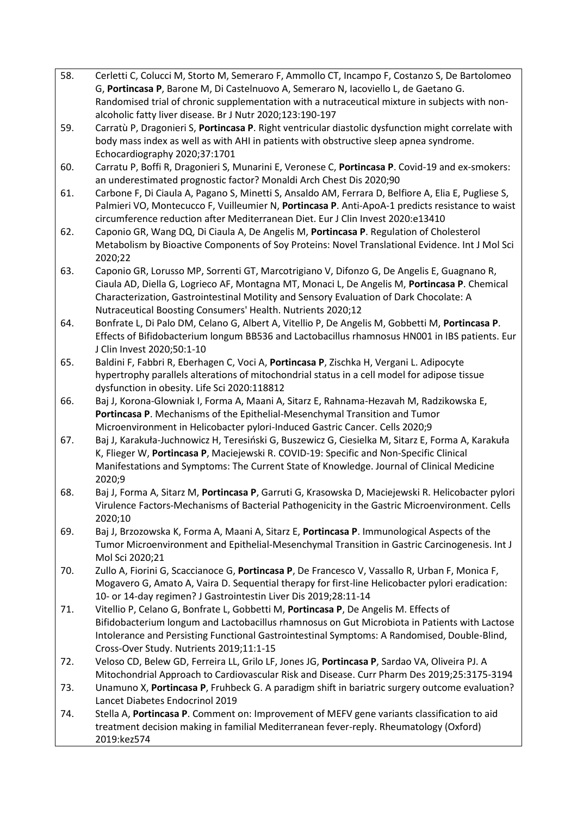- 58. Cerletti C, Colucci M, Storto M, Semeraro F, Ammollo CT, Incampo F, Costanzo S, De Bartolomeo G, **Portincasa P**, Barone M, Di Castelnuovo A, Semeraro N, Iacoviello L, de Gaetano G. Randomised trial of chronic supplementation with a nutraceutical mixture in subjects with nonalcoholic fatty liver disease. Br J Nutr 2020;123:190-197
- 59. Carratù P, Dragonieri S, **Portincasa P**. Right ventricular diastolic dysfunction might correlate with body mass index as well as with AHI in patients with obstructive sleep apnea syndrome. Echocardiography 2020;37:1701
- 60. Carratu P, Boffi R, Dragonieri S, Munarini E, Veronese C, **Portincasa P**. Covid-19 and ex-smokers: an underestimated prognostic factor? Monaldi Arch Chest Dis 2020;90
- 61. Carbone F, Di Ciaula A, Pagano S, Minetti S, Ansaldo AM, Ferrara D, Belfiore A, Elia E, Pugliese S, Palmieri VO, Montecucco F, Vuilleumier N, **Portincasa P**. Anti-ApoA-1 predicts resistance to waist circumference reduction after Mediterranean Diet. Eur J Clin Invest 2020:e13410
- 62. Caponio GR, Wang DQ, Di Ciaula A, De Angelis M, **Portincasa P**. Regulation of Cholesterol Metabolism by Bioactive Components of Soy Proteins: Novel Translational Evidence. Int J Mol Sci 2020;22
- 63. Caponio GR, Lorusso MP, Sorrenti GT, Marcotrigiano V, Difonzo G, De Angelis E, Guagnano R, Ciaula AD, Diella G, Logrieco AF, Montagna MT, Monaci L, De Angelis M, **Portincasa P**. Chemical Characterization, Gastrointestinal Motility and Sensory Evaluation of Dark Chocolate: A Nutraceutical Boosting Consumers' Health. Nutrients 2020;12
- 64. Bonfrate L, Di Palo DM, Celano G, Albert A, Vitellio P, De Angelis M, Gobbetti M, **Portincasa P**. Effects of Bifidobacterium longum BB536 and Lactobacillus rhamnosus HN001 in IBS patients. Eur J Clin Invest 2020;50:1-10
- 65. Baldini F, Fabbri R, Eberhagen C, Voci A, **Portincasa P**, Zischka H, Vergani L. Adipocyte hypertrophy parallels alterations of mitochondrial status in a cell model for adipose tissue dysfunction in obesity. Life Sci 2020:118812
- 66. Baj J, Korona-Glowniak I, Forma A, Maani A, Sitarz E, Rahnama-Hezavah M, Radzikowska E, **Portincasa P**. Mechanisms of the Epithelial-Mesenchymal Transition and Tumor Microenvironment in Helicobacter pylori-Induced Gastric Cancer. Cells 2020;9
- 67. Baj J, Karakuła-Juchnowicz H, Teresiński G, Buszewicz G, Ciesielka M, Sitarz E, Forma A, Karakuła K, Flieger W, **Portincasa P**, Maciejewski R. COVID-19: Specific and Non-Specific Clinical Manifestations and Symptoms: The Current State of Knowledge. Journal of Clinical Medicine 2020;9
- 68. Baj J, Forma A, Sitarz M, **Portincasa P**, Garruti G, Krasowska D, Maciejewski R. Helicobacter pylori Virulence Factors-Mechanisms of Bacterial Pathogenicity in the Gastric Microenvironment. Cells 2020;10
- 69. Baj J, Brzozowska K, Forma A, Maani A, Sitarz E, **Portincasa P**. Immunological Aspects of the Tumor Microenvironment and Epithelial-Mesenchymal Transition in Gastric Carcinogenesis. Int J Mol Sci 2020;21
- 70. Zullo A, Fiorini G, Scaccianoce G, **Portincasa P**, De Francesco V, Vassallo R, Urban F, Monica F, Mogavero G, Amato A, Vaira D. Sequential therapy for first-line Helicobacter pylori eradication: 10- or 14-day regimen? J Gastrointestin Liver Dis 2019;28:11-14
- 71. Vitellio P, Celano G, Bonfrate L, Gobbetti M, **Portincasa P**, De Angelis M. Effects of Bifidobacterium longum and Lactobacillus rhamnosus on Gut Microbiota in Patients with Lactose Intolerance and Persisting Functional Gastrointestinal Symptoms: A Randomised, Double-Blind, Cross-Over Study. Nutrients 2019;11:1-15
- 72. Veloso CD, Belew GD, Ferreira LL, Grilo LF, Jones JG, **Portincasa P**, Sardao VA, Oliveira PJ. A Mitochondrial Approach to Cardiovascular Risk and Disease. Curr Pharm Des 2019;25:3175-3194
- 73. Unamuno X, **Portincasa P**, Fruhbeck G. A paradigm shift in bariatric surgery outcome evaluation? Lancet Diabetes Endocrinol 2019
- 74. Stella A, **Portincasa P**. Comment on: Improvement of MEFV gene variants classification to aid treatment decision making in familial Mediterranean fever-reply. Rheumatology (Oxford) 2019:kez574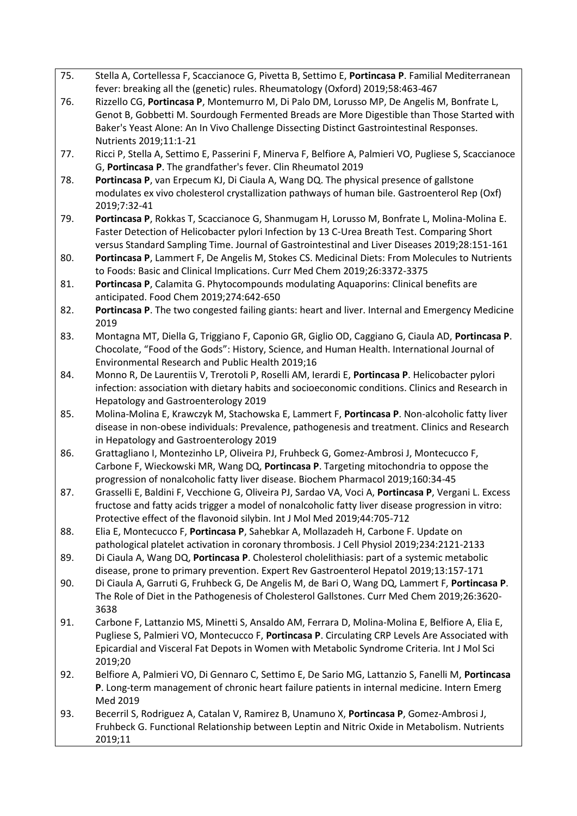- 75. Stella A, Cortellessa F, Scaccianoce G, Pivetta B, Settimo E, **Portincasa P**. Familial Mediterranean fever: breaking all the (genetic) rules. Rheumatology (Oxford) 2019;58:463-467
- 76. Rizzello CG, **Portincasa P**, Montemurro M, Di Palo DM, Lorusso MP, De Angelis M, Bonfrate L, Genot B, Gobbetti M. Sourdough Fermented Breads are More Digestible than Those Started with Baker's Yeast Alone: An In Vivo Challenge Dissecting Distinct Gastrointestinal Responses. Nutrients 2019;11:1-21
- 77. Ricci P, Stella A, Settimo E, Passerini F, Minerva F, Belfiore A, Palmieri VO, Pugliese S, Scaccianoce G, **Portincasa P**. The grandfather's fever. Clin Rheumatol 2019
- 78. **Portincasa P**, van Erpecum KJ, Di Ciaula A, Wang DQ. The physical presence of gallstone modulates ex vivo cholesterol crystallization pathways of human bile. Gastroenterol Rep (Oxf) 2019;7:32-41
- 79. **Portincasa P**, Rokkas T, Scaccianoce G, Shanmugam H, Lorusso M, Bonfrate L, Molina-Molina E. Faster Detection of Helicobacter pylori Infection by 13 C-Urea Breath Test. Comparing Short versus Standard Sampling Time. Journal of Gastrointestinal and Liver Diseases 2019;28:151-161
- 80. **Portincasa P**, Lammert F, De Angelis M, Stokes CS. Medicinal Diets: From Molecules to Nutrients to Foods: Basic and Clinical Implications. Curr Med Chem 2019;26:3372-3375
- 81. **Portincasa P**, Calamita G. Phytocompounds modulating Aquaporins: Clinical benefits are anticipated. Food Chem 2019;274:642-650
- 82. **Portincasa P**. The two congested failing giants: heart and liver. Internal and Emergency Medicine 2019
- 83. Montagna MT, Diella G, Triggiano F, Caponio GR, Giglio OD, Caggiano G, Ciaula AD, **Portincasa P**. Chocolate, "Food of the Gods": History, Science, and Human Health. International Journal of Environmental Research and Public Health 2019;16
- 84. Monno R, De Laurentiis V, Trerotoli P, Roselli AM, Ierardi E, **Portincasa P**. Helicobacter pylori infection: association with dietary habits and socioeconomic conditions. Clinics and Research in Hepatology and Gastroenterology 2019
- 85. Molina-Molina E, Krawczyk M, Stachowska E, Lammert F, **Portincasa P**. Non-alcoholic fatty liver disease in non-obese individuals: Prevalence, pathogenesis and treatment. Clinics and Research in Hepatology and Gastroenterology 2019
- 86. Grattagliano I, Montezinho LP, Oliveira PJ, Fruhbeck G, Gomez-Ambrosi J, Montecucco F, Carbone F, Wieckowski MR, Wang DQ, **Portincasa P**. Targeting mitochondria to oppose the progression of nonalcoholic fatty liver disease. Biochem Pharmacol 2019;160:34-45
- 87. Grasselli E, Baldini F, Vecchione G, Oliveira PJ, Sardao VA, Voci A, **Portincasa P**, Vergani L. Excess fructose and fatty acids trigger a model of nonalcoholic fatty liver disease progression in vitro: Protective effect of the flavonoid silybin. Int J Mol Med 2019;44:705-712
- 88. Elia E, Montecucco F, **Portincasa P**, Sahebkar A, Mollazadeh H, Carbone F. Update on pathological platelet activation in coronary thrombosis. J Cell Physiol 2019;234:2121-2133
- 89. Di Ciaula A, Wang DQ, **Portincasa P**. Cholesterol cholelithiasis: part of a systemic metabolic disease, prone to primary prevention. Expert Rev Gastroenterol Hepatol 2019;13:157-171
- 90. Di Ciaula A, Garruti G, Fruhbeck G, De Angelis M, de Bari O, Wang DQ, Lammert F, **Portincasa P**. The Role of Diet in the Pathogenesis of Cholesterol Gallstones. Curr Med Chem 2019;26:3620- 3638
- 91. Carbone F, Lattanzio MS, Minetti S, Ansaldo AM, Ferrara D, Molina-Molina E, Belfiore A, Elia E, Pugliese S, Palmieri VO, Montecucco F, **Portincasa P**. Circulating CRP Levels Are Associated with Epicardial and Visceral Fat Depots in Women with Metabolic Syndrome Criteria. Int J Mol Sci 2019;20
- 92. Belfiore A, Palmieri VO, Di Gennaro C, Settimo E, De Sario MG, Lattanzio S, Fanelli M, **Portincasa P**. Long-term management of chronic heart failure patients in internal medicine. Intern Emerg Med 2019
- 93. Becerril S, Rodriguez A, Catalan V, Ramirez B, Unamuno X, **Portincasa P**, Gomez-Ambrosi J, Fruhbeck G. Functional Relationship between Leptin and Nitric Oxide in Metabolism. Nutrients 2019;11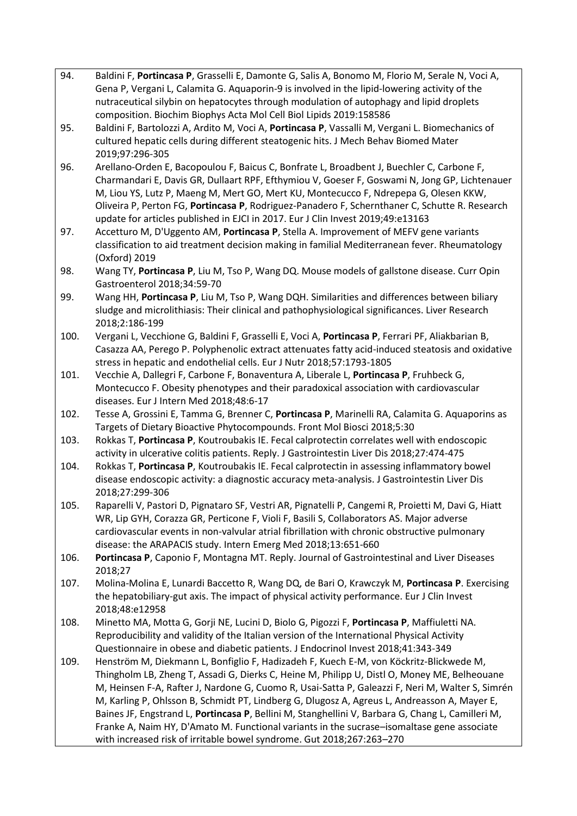| 94.  | Baldini F, Portincasa P, Grasselli E, Damonte G, Salis A, Bonomo M, Florio M, Serale N, Voci A,                                                                                                  |
|------|--------------------------------------------------------------------------------------------------------------------------------------------------------------------------------------------------|
|      | Gena P, Vergani L, Calamita G. Aquaporin-9 is involved in the lipid-lowering activity of the                                                                                                     |
|      | nutraceutical silybin on hepatocytes through modulation of autophagy and lipid droplets                                                                                                          |
|      | composition. Biochim Biophys Acta Mol Cell Biol Lipids 2019:158586                                                                                                                               |
| 95.  | Baldini F, Bartolozzi A, Ardito M, Voci A, Portincasa P, Vassalli M, Vergani L. Biomechanics of                                                                                                  |
|      | cultured hepatic cells during different steatogenic hits. J Mech Behav Biomed Mater                                                                                                              |
|      | 2019;97:296-305                                                                                                                                                                                  |
| 96.  | Arellano-Orden E, Bacopoulou F, Baicus C, Bonfrate L, Broadbent J, Buechler C, Carbone F,                                                                                                        |
|      | Charmandari E, Davis GR, Dullaart RPF, Efthymiou V, Goeser F, Goswami N, Jong GP, Lichtenauer                                                                                                    |
|      | M, Liou YS, Lutz P, Maeng M, Mert GO, Mert KU, Montecucco F, Ndrepepa G, Olesen KKW,                                                                                                             |
|      | Oliveira P, Perton FG, Portincasa P, Rodriguez-Panadero F, Schernthaner C, Schutte R. Research                                                                                                   |
|      | update for articles published in EJCI in 2017. Eur J Clin Invest 2019;49:e13163                                                                                                                  |
| 97.  | Accetturo M, D'Uggento AM, Portincasa P, Stella A. Improvement of MEFV gene variants                                                                                                             |
|      | classification to aid treatment decision making in familial Mediterranean fever. Rheumatology                                                                                                    |
|      | (Oxford) 2019                                                                                                                                                                                    |
| 98.  | Wang TY, Portincasa P, Liu M, Tso P, Wang DQ. Mouse models of gallstone disease. Curr Opin                                                                                                       |
|      | Gastroenterol 2018;34:59-70                                                                                                                                                                      |
| 99.  | Wang HH, Portincasa P, Liu M, Tso P, Wang DQH. Similarities and differences between biliary                                                                                                      |
|      | sludge and microlithiasis: Their clinical and pathophysiological significances. Liver Research                                                                                                   |
|      | 2018;2:186-199                                                                                                                                                                                   |
| 100. | Vergani L, Vecchione G, Baldini F, Grasselli E, Voci A, Portincasa P, Ferrari PF, Aliakbarian B,                                                                                                 |
|      | Casazza AA, Perego P. Polyphenolic extract attenuates fatty acid-induced steatosis and oxidative                                                                                                 |
|      | stress in hepatic and endothelial cells. Eur J Nutr 2018;57:1793-1805                                                                                                                            |
| 101. | Vecchie A, Dallegri F, Carbone F, Bonaventura A, Liberale L, Portincasa P, Fruhbeck G,                                                                                                           |
|      | Montecucco F. Obesity phenotypes and their paradoxical association with cardiovascular                                                                                                           |
|      | diseases. Eur J Intern Med 2018;48:6-17                                                                                                                                                          |
| 102. | Tesse A, Grossini E, Tamma G, Brenner C, Portincasa P, Marinelli RA, Calamita G. Aquaporins as                                                                                                   |
|      | Targets of Dietary Bioactive Phytocompounds. Front Mol Biosci 2018;5:30                                                                                                                          |
| 103. | Rokkas T, Portincasa P, Koutroubakis IE. Fecal calprotectin correlates well with endoscopic                                                                                                      |
|      | activity in ulcerative colitis patients. Reply. J Gastrointestin Liver Dis 2018;27:474-475                                                                                                       |
| 104. | Rokkas T, Portincasa P, Koutroubakis IE. Fecal calprotectin in assessing inflammatory bowel                                                                                                      |
|      | disease endoscopic activity: a diagnostic accuracy meta-analysis. J Gastrointestin Liver Dis                                                                                                     |
|      | 2018;27:299-306                                                                                                                                                                                  |
| 105. | Raparelli V, Pastori D, Pignataro SF, Vestri AR, Pignatelli P, Cangemi R, Proietti M, Davi G, Hiatt                                                                                              |
|      | WR, Lip GYH, Corazza GR, Perticone F, Violi F, Basili S, Collaborators AS. Major adverse                                                                                                         |
|      | cardiovascular events in non-valvular atrial fibrillation with chronic obstructive pulmonary                                                                                                     |
|      | disease: the ARAPACIS study. Intern Emerg Med 2018;13:651-660                                                                                                                                    |
| 106. | Portincasa P, Caponio F, Montagna MT. Reply. Journal of Gastrointestinal and Liver Diseases                                                                                                      |
|      | 2018;27                                                                                                                                                                                          |
| 107. | Molina-Molina E, Lunardi Baccetto R, Wang DQ, de Bari O, Krawczyk M, Portincasa P. Exercising                                                                                                    |
|      | the hepatobiliary-gut axis. The impact of physical activity performance. Eur J Clin Invest                                                                                                       |
|      | 2018;48:e12958                                                                                                                                                                                   |
| 108. | Minetto MA, Motta G, Gorji NE, Lucini D, Biolo G, Pigozzi F, Portincasa P, Maffiuletti NA.                                                                                                       |
|      | Reproducibility and validity of the Italian version of the International Physical Activity                                                                                                       |
|      | Questionnaire in obese and diabetic patients. J Endocrinol Invest 2018;41:343-349                                                                                                                |
| 109. | Henström M, Diekmann L, Bonfiglio F, Hadizadeh F, Kuech E-M, von Köckritz-Blickwede M,<br>Thingholm LB, Zheng T, Assadi G, Dierks C, Heine M, Philipp U, Distl O, Money ME, Belheouane           |
|      |                                                                                                                                                                                                  |
|      | M, Heinsen F-A, Rafter J, Nardone G, Cuomo R, Usai-Satta P, Galeazzi F, Neri M, Walter S, Simrén<br>M, Karling P, Ohlsson B, Schmidt PT, Lindberg G, Dlugosz A, Agreus L, Andreasson A, Mayer E, |
|      | Baines JF, Engstrand L, Portincasa P, Bellini M, Stanghellini V, Barbara G, Chang L, Camilleri M,                                                                                                |
|      | Franke A, Naim HY, D'Amato M. Functional variants in the sucrase-isomaltase gene associate                                                                                                       |
|      | with increased risk of irritable bowel syndrome. Gut 2018;267:263-270                                                                                                                            |
|      |                                                                                                                                                                                                  |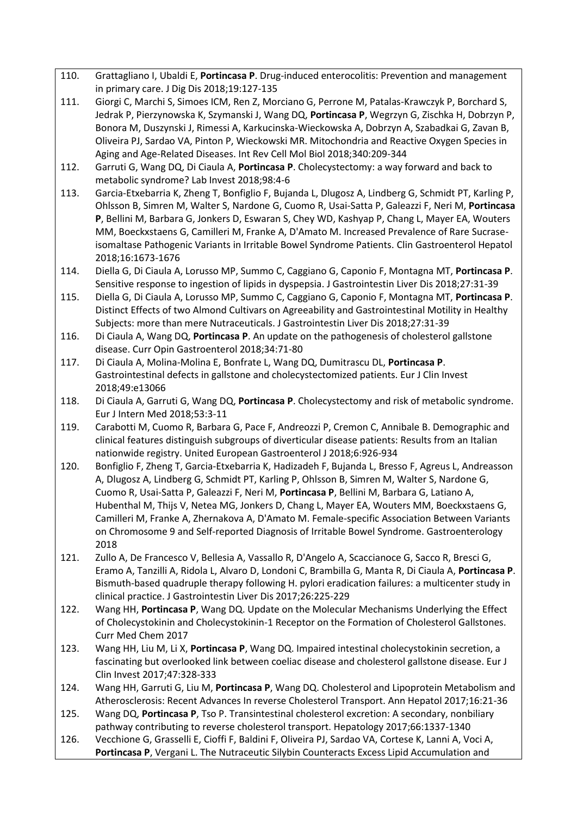- 110. Grattagliano I, Ubaldi E, **Portincasa P**. Drug-induced enterocolitis: Prevention and management in primary care. J Dig Dis 2018;19:127-135
- 111. Giorgi C, Marchi S, Simoes ICM, Ren Z, Morciano G, Perrone M, Patalas-Krawczyk P, Borchard S, Jedrak P, Pierzynowska K, Szymanski J, Wang DQ, **Portincasa P**, Wegrzyn G, Zischka H, Dobrzyn P, Bonora M, Duszynski J, Rimessi A, Karkucinska-Wieckowska A, Dobrzyn A, Szabadkai G, Zavan B, Oliveira PJ, Sardao VA, Pinton P, Wieckowski MR. Mitochondria and Reactive Oxygen Species in Aging and Age-Related Diseases. Int Rev Cell Mol Biol 2018;340:209-344
- 112. Garruti G, Wang DQ, Di Ciaula A, **Portincasa P**. Cholecystectomy: a way forward and back to metabolic syndrome? Lab Invest 2018;98:4-6
- 113. Garcia-Etxebarria K, Zheng T, Bonfiglio F, Bujanda L, Dlugosz A, Lindberg G, Schmidt PT, Karling P, Ohlsson B, Simren M, Walter S, Nardone G, Cuomo R, Usai-Satta P, Galeazzi F, Neri M, **Portincasa P**, Bellini M, Barbara G, Jonkers D, Eswaran S, Chey WD, Kashyap P, Chang L, Mayer EA, Wouters MM, Boeckxstaens G, Camilleri M, Franke A, D'Amato M. Increased Prevalence of Rare Sucraseisomaltase Pathogenic Variants in Irritable Bowel Syndrome Patients. Clin Gastroenterol Hepatol 2018;16:1673-1676
- 114. Diella G, Di Ciaula A, Lorusso MP, Summo C, Caggiano G, Caponio F, Montagna MT, **Portincasa P**. Sensitive response to ingestion of lipids in dyspepsia. J Gastrointestin Liver Dis 2018;27:31-39
- 115. Diella G, Di Ciaula A, Lorusso MP, Summo C, Caggiano G, Caponio F, Montagna MT, **Portincasa P**. Distinct Effects of two Almond Cultivars on Agreeability and Gastrointestinal Motility in Healthy Subjects: more than mere Nutraceuticals. J Gastrointestin Liver Dis 2018;27:31-39
- 116. Di Ciaula A, Wang DQ, **Portincasa P**. An update on the pathogenesis of cholesterol gallstone disease. Curr Opin Gastroenterol 2018;34:71-80
- 117. Di Ciaula A, Molina-Molina E, Bonfrate L, Wang DQ, Dumitrascu DL, **Portincasa P**. Gastrointestinal defects in gallstone and cholecystectomized patients. Eur J Clin Invest 2018;49:e13066
- 118. Di Ciaula A, Garruti G, Wang DQ, **Portincasa P**. Cholecystectomy and risk of metabolic syndrome. Eur J Intern Med 2018;53:3-11
- 119. Carabotti M, Cuomo R, Barbara G, Pace F, Andreozzi P, Cremon C, Annibale B. Demographic and clinical features distinguish subgroups of diverticular disease patients: Results from an Italian nationwide registry. United European Gastroenterol J 2018;6:926-934
- 120. Bonfiglio F, Zheng T, Garcia-Etxebarria K, Hadizadeh F, Bujanda L, Bresso F, Agreus L, Andreasson A, Dlugosz A, Lindberg G, Schmidt PT, Karling P, Ohlsson B, Simren M, Walter S, Nardone G, Cuomo R, Usai-Satta P, Galeazzi F, Neri M, **Portincasa P**, Bellini M, Barbara G, Latiano A, Hubenthal M, Thijs V, Netea MG, Jonkers D, Chang L, Mayer EA, Wouters MM, Boeckxstaens G, Camilleri M, Franke A, Zhernakova A, D'Amato M. Female-specific Association Between Variants on Chromosome 9 and Self-reported Diagnosis of Irritable Bowel Syndrome. Gastroenterology 2018
- 121. Zullo A, De Francesco V, Bellesia A, Vassallo R, D'Angelo A, Scaccianoce G, Sacco R, Bresci G, Eramo A, Tanzilli A, Ridola L, Alvaro D, Londoni C, Brambilla G, Manta R, Di Ciaula A, **Portincasa P**. Bismuth-based quadruple therapy following H. pylori eradication failures: a multicenter study in clinical practice. J Gastrointestin Liver Dis 2017;26:225-229
- 122. Wang HH, **Portincasa P**, Wang DQ. Update on the Molecular Mechanisms Underlying the Effect of Cholecystokinin and Cholecystokinin-1 Receptor on the Formation of Cholesterol Gallstones. Curr Med Chem 2017
- 123. Wang HH, Liu M, Li X, **Portincasa P**, Wang DQ. Impaired intestinal cholecystokinin secretion, a fascinating but overlooked link between coeliac disease and cholesterol gallstone disease. Eur J Clin Invest 2017;47:328-333
- 124. Wang HH, Garruti G, Liu M, **Portincasa P**, Wang DQ. Cholesterol and Lipoprotein Metabolism and Atherosclerosis: Recent Advances In reverse Cholesterol Transport. Ann Hepatol 2017;16:21-36
- 125. Wang DQ, **Portincasa P**, Tso P. Transintestinal cholesterol excretion: A secondary, nonbiliary pathway contributing to reverse cholesterol transport. Hepatology 2017;66:1337-1340
- 126. Vecchione G, Grasselli E, Cioffi F, Baldini F, Oliveira PJ, Sardao VA, Cortese K, Lanni A, Voci A, **Portincasa P**, Vergani L. The Nutraceutic Silybin Counteracts Excess Lipid Accumulation and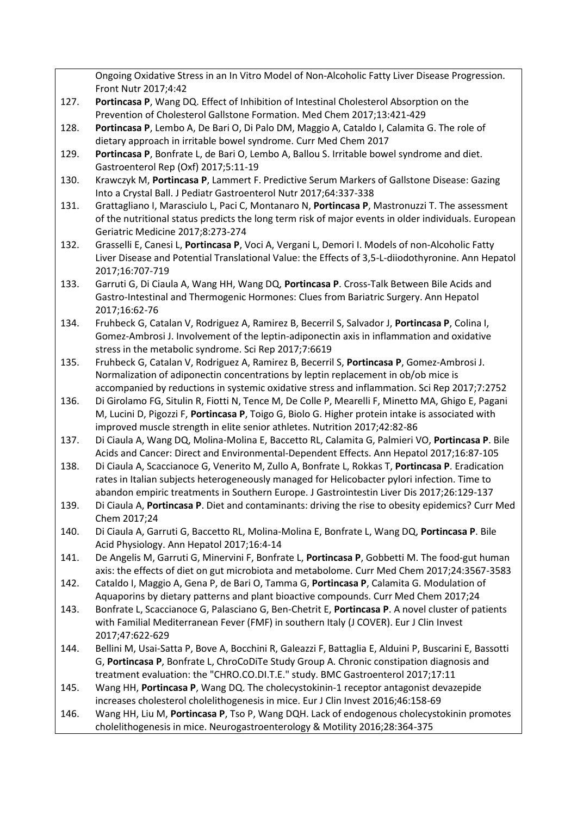|      | Ongoing Oxidative Stress in an In Vitro Model of Non-Alcoholic Fatty Liver Disease Progression.        |
|------|--------------------------------------------------------------------------------------------------------|
|      | Front Nutr 2017;4:42                                                                                   |
| 127. | Portincasa P, Wang DQ. Effect of Inhibition of Intestinal Cholesterol Absorption on the                |
|      | Prevention of Cholesterol Gallstone Formation. Med Chem 2017;13:421-429                                |
| 128. | Portincasa P, Lembo A, De Bari O, Di Palo DM, Maggio A, Cataldo I, Calamita G. The role of             |
|      | dietary approach in irritable bowel syndrome. Curr Med Chem 2017                                       |
| 129. | Portincasa P, Bonfrate L, de Bari O, Lembo A, Ballou S. Irritable bowel syndrome and diet.             |
|      | Gastroenterol Rep (Oxf) 2017;5:11-19                                                                   |
| 130. | Krawczyk M, Portincasa P, Lammert F. Predictive Serum Markers of Gallstone Disease: Gazing             |
|      | Into a Crystal Ball. J Pediatr Gastroenterol Nutr 2017;64:337-338                                      |
| 131. | Grattagliano I, Marasciulo L, Paci C, Montanaro N, Portincasa P, Mastronuzzi T. The assessment         |
|      | of the nutritional status predicts the long term risk of major events in older individuals. European   |
|      | Geriatric Medicine 2017;8:273-274                                                                      |
| 132. | Grasselli E, Canesi L, Portincasa P, Voci A, Vergani L, Demori I. Models of non-Alcoholic Fatty        |
|      | Liver Disease and Potential Translational Value: the Effects of 3,5-L-diiodothyronine. Ann Hepatol     |
|      | 2017;16:707-719                                                                                        |
| 133. | Garruti G, Di Ciaula A, Wang HH, Wang DQ, Portincasa P. Cross-Talk Between Bile Acids and              |
|      | Gastro-Intestinal and Thermogenic Hormones: Clues from Bariatric Surgery. Ann Hepatol                  |
|      | 2017;16:62-76                                                                                          |
| 134. | Fruhbeck G, Catalan V, Rodriguez A, Ramirez B, Becerril S, Salvador J, Portincasa P, Colina I,         |
|      | Gomez-Ambrosi J. Involvement of the leptin-adiponectin axis in inflammation and oxidative              |
|      | stress in the metabolic syndrome. Sci Rep 2017;7:6619                                                  |
| 135. | Fruhbeck G, Catalan V, Rodriguez A, Ramirez B, Becerril S, Portincasa P, Gomez-Ambrosi J.              |
|      |                                                                                                        |
|      | Normalization of adiponectin concentrations by leptin replacement in ob/ob mice is                     |
|      | accompanied by reductions in systemic oxidative stress and inflammation. Sci Rep 2017;7:2752           |
| 136. | Di Girolamo FG, Situlin R, Fiotti N, Tence M, De Colle P, Mearelli F, Minetto MA, Ghigo E, Pagani      |
|      | M, Lucini D, Pigozzi F, Portincasa P, Toigo G, Biolo G. Higher protein intake is associated with       |
|      | improved muscle strength in elite senior athletes. Nutrition 2017;42:82-86                             |
| 137. | Di Ciaula A, Wang DQ, Molina-Molina E, Baccetto RL, Calamita G, Palmieri VO, Portincasa P. Bile        |
|      | Acids and Cancer: Direct and Environmental-Dependent Effects. Ann Hepatol 2017;16:87-105               |
| 138. | Di Ciaula A, Scaccianoce G, Venerito M, Zullo A, Bonfrate L, Rokkas T, Portincasa P. Eradication       |
|      | rates in Italian subjects heterogeneously managed for Helicobacter pylori infection. Time to           |
|      | abandon empiric treatments in Southern Europe. J Gastrointestin Liver Dis 2017;26:129-137              |
| 139. | Di Ciaula A, Portincasa P. Diet and contaminants: driving the rise to obesity epidemics? Curr Med      |
|      | Chem 2017;24                                                                                           |
| 140. | Di Ciaula A, Garruti G, Baccetto RL, Molina-Molina E, Bonfrate L, Wang DQ, Portincasa P. Bile          |
|      | Acid Physiology. Ann Hepatol 2017;16:4-14                                                              |
| 141. | De Angelis M, Garruti G, Minervini F, Bonfrate L, Portincasa P, Gobbetti M. The food-gut human         |
|      | axis: the effects of diet on gut microbiota and metabolome. Curr Med Chem 2017;24:3567-3583            |
| 142. | Cataldo I, Maggio A, Gena P, de Bari O, Tamma G, Portincasa P, Calamita G. Modulation of               |
|      | Aquaporins by dietary patterns and plant bioactive compounds. Curr Med Chem 2017;24                    |
| 143. | Bonfrate L, Scaccianoce G, Palasciano G, Ben-Chetrit E, Portincasa P. A novel cluster of patients      |
|      | with Familial Mediterranean Fever (FMF) in southern Italy (J COVER). Eur J Clin Invest                 |
|      | 2017;47:622-629                                                                                        |
| 144. | Bellini M, Usai-Satta P, Bove A, Bocchini R, Galeazzi F, Battaglia E, Alduini P, Buscarini E, Bassotti |
|      | G, Portincasa P, Bonfrate L, ChroCoDiTe Study Group A. Chronic constipation diagnosis and              |
|      | treatment evaluation: the "CHRO.CO.DI.T.E." study. BMC Gastroenterol 2017;17:11                        |
| 145. | Wang HH, Portincasa P, Wang DQ. The cholecystokinin-1 receptor antagonist devazepide                   |
|      | increases cholesterol cholelithogenesis in mice. Eur J Clin Invest 2016;46:158-69                      |
| 146. | Wang HH, Liu M, Portincasa P, Tso P, Wang DQH. Lack of endogenous cholecystokinin promotes             |
|      | cholelithogenesis in mice. Neurogastroenterology & Motility 2016;28:364-375                            |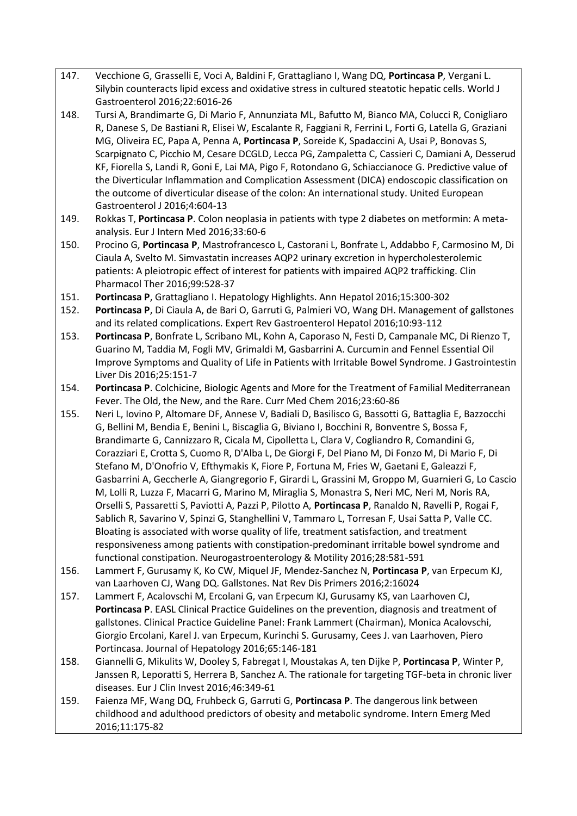- 147. Vecchione G, Grasselli E, Voci A, Baldini F, Grattagliano I, Wang DQ, **Portincasa P**, Vergani L. Silybin counteracts lipid excess and oxidative stress in cultured steatotic hepatic cells. World J Gastroenterol 2016;22:6016-26
- 148. Tursi A, Brandimarte G, Di Mario F, Annunziata ML, Bafutto M, Bianco MA, Colucci R, Conigliaro R, Danese S, De Bastiani R, Elisei W, Escalante R, Faggiani R, Ferrini L, Forti G, Latella G, Graziani MG, Oliveira EC, Papa A, Penna A, **Portincasa P**, Soreide K, Spadaccini A, Usai P, Bonovas S, Scarpignato C, Picchio M, Cesare DCGLD, Lecca PG, Zampaletta C, Cassieri C, Damiani A, Desserud KF, Fiorella S, Landi R, Goni E, Lai MA, Pigo F, Rotondano G, Schiaccianoce G. Predictive value of the Diverticular Inflammation and Complication Assessment (DICA) endoscopic classification on the outcome of diverticular disease of the colon: An international study. United European Gastroenterol J 2016;4:604-13
- 149. Rokkas T, **Portincasa P**. Colon neoplasia in patients with type 2 diabetes on metformin: A metaanalysis. Eur J Intern Med 2016;33:60-6
- 150. Procino G, **Portincasa P**, Mastrofrancesco L, Castorani L, Bonfrate L, Addabbo F, Carmosino M, Di Ciaula A, Svelto M. Simvastatin increases AQP2 urinary excretion in hypercholesterolemic patients: A pleiotropic effect of interest for patients with impaired AQP2 trafficking. Clin Pharmacol Ther 2016;99:528-37
- 151. **Portincasa P**, Grattagliano I. Hepatology Highlights. Ann Hepatol 2016;15:300-302
- 152. **Portincasa P**, Di Ciaula A, de Bari O, Garruti G, Palmieri VO, Wang DH. Management of gallstones and its related complications. Expert Rev Gastroenterol Hepatol 2016;10:93-112
- 153. **Portincasa P**, Bonfrate L, Scribano ML, Kohn A, Caporaso N, Festi D, Campanale MC, Di Rienzo T, Guarino M, Taddia M, Fogli MV, Grimaldi M, Gasbarrini A. Curcumin and Fennel Essential Oil Improve Symptoms and Quality of Life in Patients with Irritable Bowel Syndrome. J Gastrointestin Liver Dis 2016;25:151-7
- 154. **Portincasa P**. Colchicine, Biologic Agents and More for the Treatment of Familial Mediterranean Fever. The Old, the New, and the Rare. Curr Med Chem 2016;23:60-86
- 155. Neri L, Iovino P, Altomare DF, Annese V, Badiali D, Basilisco G, Bassotti G, Battaglia E, Bazzocchi G, Bellini M, Bendia E, Benini L, Biscaglia G, Biviano I, Bocchini R, Bonventre S, Bossa F, Brandimarte G, Cannizzaro R, Cicala M, Cipolletta L, Clara V, Cogliandro R, Comandini G, Corazziari E, Crotta S, Cuomo R, D'Alba L, De Giorgi F, Del Piano M, Di Fonzo M, Di Mario F, Di Stefano M, D'Onofrio V, Efthymakis K, Fiore P, Fortuna M, Fries W, Gaetani E, Galeazzi F, Gasbarrini A, Geccherle A, Giangregorio F, Girardi L, Grassini M, Groppo M, Guarnieri G, Lo Cascio M, Lolli R, Luzza F, Macarri G, Marino M, Miraglia S, Monastra S, Neri MC, Neri M, Noris RA, Orselli S, Passaretti S, Paviotti A, Pazzi P, Pilotto A, **Portincasa P**, Ranaldo N, Ravelli P, Rogai F, Sablich R, Savarino V, Spinzi G, Stanghellini V, Tammaro L, Torresan F, Usai Satta P, Valle CC. Bloating is associated with worse quality of life, treatment satisfaction, and treatment responsiveness among patients with constipation-predominant irritable bowel syndrome and functional constipation. Neurogastroenterology & Motility 2016;28:581-591
- 156. Lammert F, Gurusamy K, Ko CW, Miquel JF, Mendez-Sanchez N, **Portincasa P**, van Erpecum KJ, van Laarhoven CJ, Wang DQ. Gallstones. Nat Rev Dis Primers 2016;2:16024
- 157. Lammert F, Acalovschi M, Ercolani G, van Erpecum KJ, Gurusamy KS, van Laarhoven CJ, **Portincasa P**. EASL Clinical Practice Guidelines on the prevention, diagnosis and treatment of gallstones. Clinical Practice Guideline Panel: Frank Lammert (Chairman), Monica Acalovschi, Giorgio Ercolani, Karel J. van Erpecum, Kurinchi S. Gurusamy, Cees J. van Laarhoven, Piero Portincasa. Journal of Hepatology 2016;65:146-181
- 158. Giannelli G, Mikulits W, Dooley S, Fabregat I, Moustakas A, ten Dijke P, **Portincasa P**, Winter P, Janssen R, Leporatti S, Herrera B, Sanchez A. The rationale for targeting TGF-beta in chronic liver diseases. Eur J Clin Invest 2016;46:349-61
- 159. Faienza MF, Wang DQ, Fruhbeck G, Garruti G, **Portincasa P**. The dangerous link between childhood and adulthood predictors of obesity and metabolic syndrome. Intern Emerg Med 2016;11:175-82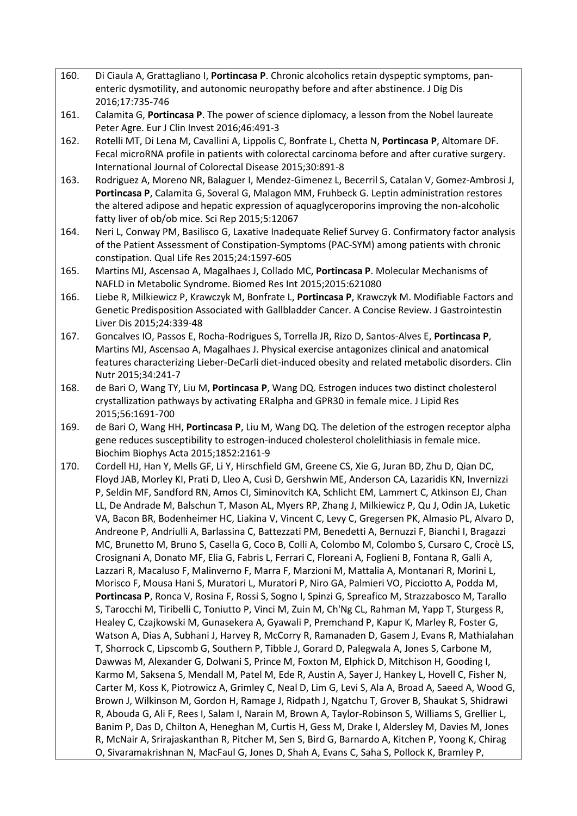- 160. Di Ciaula A, Grattagliano I, **Portincasa P**. Chronic alcoholics retain dyspeptic symptoms, panenteric dysmotility, and autonomic neuropathy before and after abstinence. J Dig Dis 2016;17:735-746
- 161. Calamita G, **Portincasa P**. The power of science diplomacy, a lesson from the Nobel laureate Peter Agre. Eur J Clin Invest 2016;46:491-3
- 162. Rotelli MT, Di Lena M, Cavallini A, Lippolis C, Bonfrate L, Chetta N, **Portincasa P**, Altomare DF. Fecal microRNA profile in patients with colorectal carcinoma before and after curative surgery. International Journal of Colorectal Disease 2015;30:891-8
- 163. Rodriguez A, Moreno NR, Balaguer I, Mendez-Gimenez L, Becerril S, Catalan V, Gomez-Ambrosi J, **Portincasa P**, Calamita G, Soveral G, Malagon MM, Fruhbeck G. Leptin administration restores the altered adipose and hepatic expression of aquaglyceroporins improving the non-alcoholic fatty liver of ob/ob mice. Sci Rep 2015;5:12067
- 164. Neri L, Conway PM, Basilisco G, Laxative Inadequate Relief Survey G. Confirmatory factor analysis of the Patient Assessment of Constipation-Symptoms (PAC-SYM) among patients with chronic constipation. Qual Life Res 2015;24:1597-605
- 165. Martins MJ, Ascensao A, Magalhaes J, Collado MC, **Portincasa P**. Molecular Mechanisms of NAFLD in Metabolic Syndrome. Biomed Res Int 2015;2015:621080
- 166. Liebe R, Milkiewicz P, Krawczyk M, Bonfrate L, **Portincasa P**, Krawczyk M. Modifiable Factors and Genetic Predisposition Associated with Gallbladder Cancer. A Concise Review. J Gastrointestin Liver Dis 2015;24:339-48
- 167. Goncalves IO, Passos E, Rocha-Rodrigues S, Torrella JR, Rizo D, Santos-Alves E, **Portincasa P**, Martins MJ, Ascensao A, Magalhaes J. Physical exercise antagonizes clinical and anatomical features characterizing Lieber-DeCarli diet-induced obesity and related metabolic disorders. Clin Nutr 2015;34:241-7
- 168. de Bari O, Wang TY, Liu M, **Portincasa P**, Wang DQ. Estrogen induces two distinct cholesterol crystallization pathways by activating ERalpha and GPR30 in female mice. J Lipid Res 2015;56:1691-700
- 169. de Bari O, Wang HH, **Portincasa P**, Liu M, Wang DQ. The deletion of the estrogen receptor alpha gene reduces susceptibility to estrogen-induced cholesterol cholelithiasis in female mice. Biochim Biophys Acta 2015;1852:2161-9
- 170. Cordell HJ, Han Y, Mells GF, Li Y, Hirschfield GM, Greene CS, Xie G, Juran BD, Zhu D, Qian DC, Floyd JAB, Morley KI, Prati D, Lleo A, Cusi D, Gershwin ME, Anderson CA, Lazaridis KN, Invernizzi P, Seldin MF, Sandford RN, Amos CI, Siminovitch KA, Schlicht EM, Lammert C, Atkinson EJ, Chan LL, De Andrade M, Balschun T, Mason AL, Myers RP, Zhang J, Milkiewicz P, Qu J, Odin JA, Luketic VA, Bacon BR, Bodenheimer HC, Liakina V, Vincent C, Levy C, Gregersen PK, Almasio PL, Alvaro D, Andreone P, Andriulli A, Barlassina C, Battezzati PM, Benedetti A, Bernuzzi F, Bianchi I, Bragazzi MC, Brunetto M, Bruno S, Casella G, Coco B, Colli A, Colombo M, Colombo S, Cursaro C, Crocè LS, Crosignani A, Donato MF, Elia G, Fabris L, Ferrari C, Floreani A, Foglieni B, Fontana R, Galli A, Lazzari R, Macaluso F, Malinverno F, Marra F, Marzioni M, Mattalia A, Montanari R, Morini L, Morisco F, Mousa Hani S, Muratori L, Muratori P, Niro GA, Palmieri VO, Picciotto A, Podda M, **Portincasa P**, Ronca V, Rosina F, Rossi S, Sogno I, Spinzi G, Spreafico M, Strazzabosco M, Tarallo S, Tarocchi M, Tiribelli C, Toniutto P, Vinci M, Zuin M, Ch'Ng CL, Rahman M, Yapp T, Sturgess R, Healey C, Czajkowski M, Gunasekera A, Gyawali P, Premchand P, Kapur K, Marley R, Foster G, Watson A, Dias A, Subhani J, Harvey R, McCorry R, Ramanaden D, Gasem J, Evans R, Mathialahan T, Shorrock C, Lipscomb G, Southern P, Tibble J, Gorard D, Palegwala A, Jones S, Carbone M, Dawwas M, Alexander G, Dolwani S, Prince M, Foxton M, Elphick D, Mitchison H, Gooding I, Karmo M, Saksena S, Mendall M, Patel M, Ede R, Austin A, Sayer J, Hankey L, Hovell C, Fisher N, Carter M, Koss K, Piotrowicz A, Grimley C, Neal D, Lim G, Levi S, Ala A, Broad A, Saeed A, Wood G, Brown J, Wilkinson M, Gordon H, Ramage J, Ridpath J, Ngatchu T, Grover B, Shaukat S, Shidrawi R, Abouda G, Ali F, Rees I, Salam I, Narain M, Brown A, Taylor-Robinson S, Williams S, Grellier L, Banim P, Das D, Chilton A, Heneghan M, Curtis H, Gess M, Drake I, Aldersley M, Davies M, Jones R, McNair A, Srirajaskanthan R, Pitcher M, Sen S, Bird G, Barnardo A, Kitchen P, Yoong K, Chirag O, Sivaramakrishnan N, MacFaul G, Jones D, Shah A, Evans C, Saha S, Pollock K, Bramley P,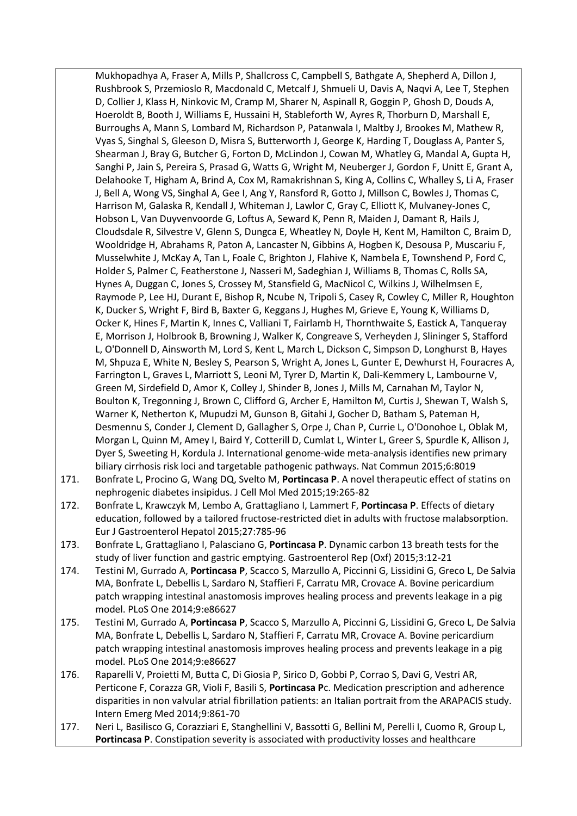Mukhopadhya A, Fraser A, Mills P, Shallcross C, Campbell S, Bathgate A, Shepherd A, Dillon J, Rushbrook S, Przemioslo R, Macdonald C, Metcalf J, Shmueli U, Davis A, Naqvi A, Lee T, Stephen D, Collier J, Klass H, Ninkovic M, Cramp M, Sharer N, Aspinall R, Goggin P, Ghosh D, Douds A, Hoeroldt B, Booth J, Williams E, Hussaini H, Stableforth W, Ayres R, Thorburn D, Marshall E, Burroughs A, Mann S, Lombard M, Richardson P, Patanwala I, Maltby J, Brookes M, Mathew R, Vyas S, Singhal S, Gleeson D, Misra S, Butterworth J, George K, Harding T, Douglass A, Panter S, Shearman J, Bray G, Butcher G, Forton D, McLindon J, Cowan M, Whatley G, Mandal A, Gupta H, Sanghi P, Jain S, Pereira S, Prasad G, Watts G, Wright M, Neuberger J, Gordon F, Unitt E, Grant A, Delahooke T, Higham A, Brind A, Cox M, Ramakrishnan S, King A, Collins C, Whalley S, Li A, Fraser J, Bell A, Wong VS, Singhal A, Gee I, Ang Y, Ransford R, Gotto J, Millson C, Bowles J, Thomas C, Harrison M, Galaska R, Kendall J, Whiteman J, Lawlor C, Gray C, Elliott K, Mulvaney-Jones C, Hobson L, Van Duyvenvoorde G, Loftus A, Seward K, Penn R, Maiden J, Damant R, Hails J, Cloudsdale R, Silvestre V, Glenn S, Dungca E, Wheatley N, Doyle H, Kent M, Hamilton C, Braim D, Wooldridge H, Abrahams R, Paton A, Lancaster N, Gibbins A, Hogben K, Desousa P, Muscariu F, Musselwhite J, McKay A, Tan L, Foale C, Brighton J, Flahive K, Nambela E, Townshend P, Ford C, Holder S, Palmer C, Featherstone J, Nasseri M, Sadeghian J, Williams B, Thomas C, Rolls SA, Hynes A, Duggan C, Jones S, Crossey M, Stansfield G, MacNicol C, Wilkins J, Wilhelmsen E, Raymode P, Lee HJ, Durant E, Bishop R, Ncube N, Tripoli S, Casey R, Cowley C, Miller R, Houghton K, Ducker S, Wright F, Bird B, Baxter G, Keggans J, Hughes M, Grieve E, Young K, Williams D, Ocker K, Hines F, Martin K, Innes C, Valliani T, Fairlamb H, Thornthwaite S, Eastick A, Tanqueray E, Morrison J, Holbrook B, Browning J, Walker K, Congreave S, Verheyden J, Slininger S, Stafford L, O'Donnell D, Ainsworth M, Lord S, Kent L, March L, Dickson C, Simpson D, Longhurst B, Hayes M, Shpuza E, White N, Besley S, Pearson S, Wright A, Jones L, Gunter E, Dewhurst H, Fouracres A, Farrington L, Graves L, Marriott S, Leoni M, Tyrer D, Martin K, Dali-Kemmery L, Lambourne V, Green M, Sirdefield D, Amor K, Colley J, Shinder B, Jones J, Mills M, Carnahan M, Taylor N, Boulton K, Tregonning J, Brown C, Clifford G, Archer E, Hamilton M, Curtis J, Shewan T, Walsh S, Warner K, Netherton K, Mupudzi M, Gunson B, Gitahi J, Gocher D, Batham S, Pateman H, Desmennu S, Conder J, Clement D, Gallagher S, Orpe J, Chan P, Currie L, O'Donohoe L, Oblak M, Morgan L, Quinn M, Amey I, Baird Y, Cotterill D, Cumlat L, Winter L, Greer S, Spurdle K, Allison J, Dyer S, Sweeting H, Kordula J. International genome-wide meta-analysis identifies new primary biliary cirrhosis risk loci and targetable pathogenic pathways. Nat Commun 2015;6:8019

- 171. Bonfrate L, Procino G, Wang DQ, Svelto M, **Portincasa P**. A novel therapeutic effect of statins on nephrogenic diabetes insipidus. J Cell Mol Med 2015;19:265-82
- 172. Bonfrate L, Krawczyk M, Lembo A, Grattagliano I, Lammert F, **Portincasa P**. Effects of dietary education, followed by a tailored fructose-restricted diet in adults with fructose malabsorption. Eur J Gastroenterol Hepatol 2015;27:785-96
- 173. Bonfrate L, Grattagliano I, Palasciano G, **Portincasa P**. Dynamic carbon 13 breath tests for the study of liver function and gastric emptying. Gastroenterol Rep (Oxf) 2015;3:12-21
- 174. Testini M, Gurrado A, **Portincasa P**, Scacco S, Marzullo A, Piccinni G, Lissidini G, Greco L, De Salvia MA, Bonfrate L, Debellis L, Sardaro N, Staffieri F, Carratu MR, Crovace A. Bovine pericardium patch wrapping intestinal anastomosis improves healing process and prevents leakage in a pig model. PLoS One 2014;9:e86627
- 175. Testini M, Gurrado A, **Portincasa P**, Scacco S, Marzullo A, Piccinni G, Lissidini G, Greco L, De Salvia MA, Bonfrate L, Debellis L, Sardaro N, Staffieri F, Carratu MR, Crovace A. Bovine pericardium patch wrapping intestinal anastomosis improves healing process and prevents leakage in a pig model. PLoS One 2014;9:e86627
- 176. Raparelli V, Proietti M, Butta C, Di Giosia P, Sirico D, Gobbi P, Corrao S, Davi G, Vestri AR, Perticone F, Corazza GR, Violi F, Basili S, **Portincasa P**c. Medication prescription and adherence disparities in non valvular atrial fibrillation patients: an Italian portrait from the ARAPACIS study. Intern Emerg Med 2014;9:861-70
- 177. Neri L, Basilisco G, Corazziari E, Stanghellini V, Bassotti G, Bellini M, Perelli I, Cuomo R, Group L, **Portincasa P**. Constipation severity is associated with productivity losses and healthcare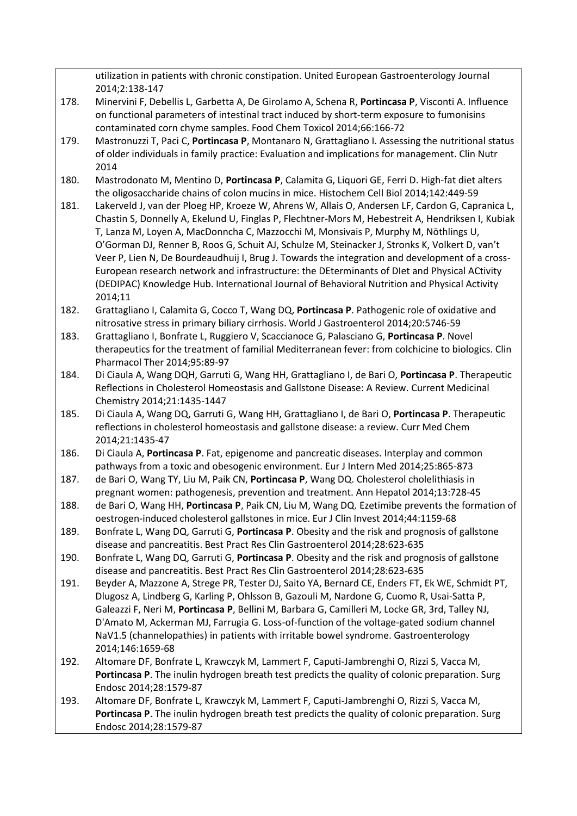|      | utilization in patients with chronic constipation. United European Gastroenterology Journal<br>2014;2:138-147             |
|------|---------------------------------------------------------------------------------------------------------------------------|
| 178. | Minervini F, Debellis L, Garbetta A, De Girolamo A, Schena R, Portincasa P, Visconti A. Influence                         |
|      | on functional parameters of intestinal tract induced by short-term exposure to fumonisins                                 |
|      | contaminated corn chyme samples. Food Chem Toxicol 2014;66:166-72                                                         |
| 179. | Mastronuzzi T, Paci C, Portincasa P, Montanaro N, Grattagliano I. Assessing the nutritional status                        |
|      | of older individuals in family practice: Evaluation and implications for management. Clin Nutr                            |
|      | 2014                                                                                                                      |
| 180. | Mastrodonato M, Mentino D, Portincasa P, Calamita G, Liquori GE, Ferri D. High-fat diet alters                            |
|      | the oligosaccharide chains of colon mucins in mice. Histochem Cell Biol 2014;142:449-59                                   |
| 181. | Lakerveld J, van der Ploeg HP, Kroeze W, Ahrens W, Allais O, Andersen LF, Cardon G, Capranica L,                          |
|      | Chastin S, Donnelly A, Ekelund U, Finglas P, Flechtner-Mors M, Hebestreit A, Hendriksen I, Kubiak                         |
|      | T, Lanza M, Loyen A, MacDonncha C, Mazzocchi M, Monsivais P, Murphy M, Nöthlings U,                                       |
|      | O'Gorman DJ, Renner B, Roos G, Schuit AJ, Schulze M, Steinacker J, Stronks K, Volkert D, van't                            |
|      | Veer P, Lien N, De Bourdeaudhuij I, Brug J. Towards the integration and development of a cross-                           |
|      | European research network and infrastructure: the DEterminants of Dlet and Physical ACtivity                              |
|      | (DEDIPAC) Knowledge Hub. International Journal of Behavioral Nutrition and Physical Activity                              |
|      | 2014;11                                                                                                                   |
| 182. | Grattagliano I, Calamita G, Cocco T, Wang DQ, Portincasa P. Pathogenic role of oxidative and                              |
|      | nitrosative stress in primary biliary cirrhosis. World J Gastroenterol 2014;20:5746-59                                    |
| 183. | Grattagliano I, Bonfrate L, Ruggiero V, Scaccianoce G, Palasciano G, Portincasa P. Novel                                  |
|      | therapeutics for the treatment of familial Mediterranean fever: from colchicine to biologics. Clin                        |
|      | Pharmacol Ther 2014;95:89-97                                                                                              |
| 184. | Di Ciaula A, Wang DQH, Garruti G, Wang HH, Grattagliano I, de Bari O, Portincasa P. Therapeutic                           |
|      | Reflections in Cholesterol Homeostasis and Gallstone Disease: A Review. Current Medicinal                                 |
|      | Chemistry 2014;21:1435-1447                                                                                               |
| 185. | Di Ciaula A, Wang DQ, Garruti G, Wang HH, Grattagliano I, de Bari O, Portincasa P. Therapeutic                            |
|      | reflections in cholesterol homeostasis and gallstone disease: a review. Curr Med Chem                                     |
| 186. | 2014;21:1435-47<br>Di Ciaula A, Portincasa P. Fat, epigenome and pancreatic diseases. Interplay and common                |
|      | pathways from a toxic and obesogenic environment. Eur J Intern Med 2014;25:865-873                                        |
| 187. | de Bari O, Wang TY, Liu M, Paik CN, Portincasa P, Wang DQ. Cholesterol cholelithiasis in                                  |
|      | pregnant women: pathogenesis, prevention and treatment. Ann Hepatol 2014;13:728-45                                        |
| 188. | de Bari O, Wang HH, Portincasa P, Paik CN, Liu M, Wang DQ. Ezetimibe prevents the formation of                            |
|      | oestrogen-induced cholesterol gallstones in mice. Eur J Clin Invest 2014;44:1159-68                                       |
| 189. | Bonfrate L, Wang DQ, Garruti G, Portincasa P. Obesity and the risk and prognosis of gallstone                             |
|      | disease and pancreatitis. Best Pract Res Clin Gastroenterol 2014;28:623-635                                               |
| 190. | Bonfrate L, Wang DQ, Garruti G, Portincasa P. Obesity and the risk and prognosis of gallstone                             |
|      | disease and pancreatitis. Best Pract Res Clin Gastroenterol 2014;28:623-635                                               |
| 191. | Beyder A, Mazzone A, Strege PR, Tester DJ, Saito YA, Bernard CE, Enders FT, Ek WE, Schmidt PT,                            |
|      | Dlugosz A, Lindberg G, Karling P, Ohlsson B, Gazouli M, Nardone G, Cuomo R, Usai-Satta P,                                 |
|      | Galeazzi F, Neri M, Portincasa P, Bellini M, Barbara G, Camilleri M, Locke GR, 3rd, Talley NJ,                            |
|      | D'Amato M, Ackerman MJ, Farrugia G. Loss-of-function of the voltage-gated sodium channel                                  |
|      | NaV1.5 (channelopathies) in patients with irritable bowel syndrome. Gastroenterology                                      |
|      | 2014;146:1659-68                                                                                                          |
| 192. | Altomare DF, Bonfrate L, Krawczyk M, Lammert F, Caputi-Jambrenghi O, Rizzi S, Vacca M,                                    |
|      | Portincasa P. The inulin hydrogen breath test predicts the quality of colonic preparation. Surg                           |
|      | Endosc 2014;28:1579-87                                                                                                    |
| 193. | Altomare DF, Bonfrate L, Krawczyk M, Lammert F, Caputi-Jambrenghi O, Rizzi S, Vacca M,                                    |
|      | Portincasa P. The inulin hydrogen breath test predicts the quality of colonic preparation. Surg<br>Endosc 2014;28:1579-87 |
|      |                                                                                                                           |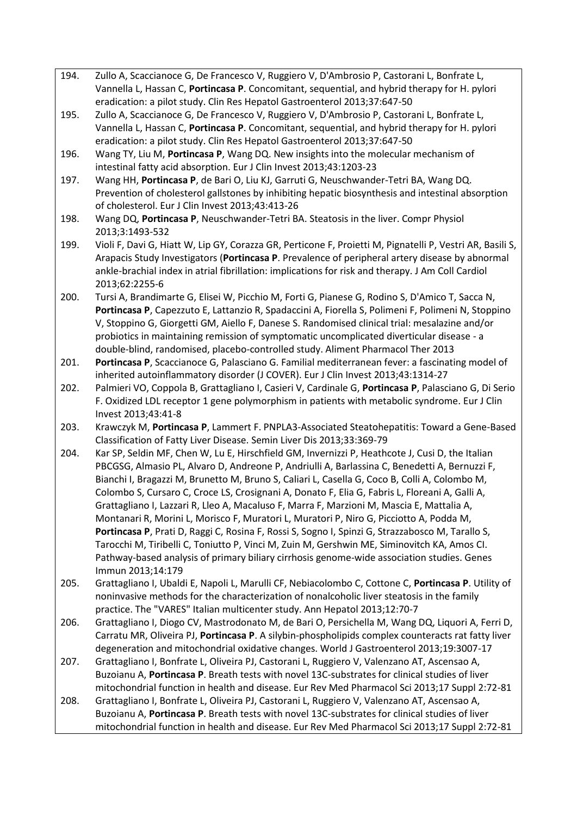- 194. Zullo A, Scaccianoce G, De Francesco V, Ruggiero V, D'Ambrosio P, Castorani L, Bonfrate L, Vannella L, Hassan C, **Portincasa P**. Concomitant, sequential, and hybrid therapy for H. pylori eradication: a pilot study. Clin Res Hepatol Gastroenterol 2013;37:647-50
- 195. Zullo A, Scaccianoce G, De Francesco V, Ruggiero V, D'Ambrosio P, Castorani L, Bonfrate L, Vannella L, Hassan C, **Portincasa P**. Concomitant, sequential, and hybrid therapy for H. pylori eradication: a pilot study. Clin Res Hepatol Gastroenterol 2013;37:647-50
- 196. Wang TY, Liu M, **Portincasa P**, Wang DQ. New insights into the molecular mechanism of intestinal fatty acid absorption. Eur J Clin Invest 2013;43:1203-23
- 197. Wang HH, **Portincasa P**, de Bari O, Liu KJ, Garruti G, Neuschwander-Tetri BA, Wang DQ. Prevention of cholesterol gallstones by inhibiting hepatic biosynthesis and intestinal absorption of cholesterol. Eur J Clin Invest 2013;43:413-26
- 198. Wang DQ, **Portincasa P**, Neuschwander-Tetri BA. Steatosis in the liver. Compr Physiol 2013;3:1493-532
- 199. Violi F, Davi G, Hiatt W, Lip GY, Corazza GR, Perticone F, Proietti M, Pignatelli P, Vestri AR, Basili S, Arapacis Study Investigators (**Portincasa P**. Prevalence of peripheral artery disease by abnormal ankle-brachial index in atrial fibrillation: implications for risk and therapy. J Am Coll Cardiol 2013;62:2255-6
- 200. Tursi A, Brandimarte G, Elisei W, Picchio M, Forti G, Pianese G, Rodino S, D'Amico T, Sacca N, **Portincasa P**, Capezzuto E, Lattanzio R, Spadaccini A, Fiorella S, Polimeni F, Polimeni N, Stoppino V, Stoppino G, Giorgetti GM, Aiello F, Danese S. Randomised clinical trial: mesalazine and/or probiotics in maintaining remission of symptomatic uncomplicated diverticular disease - a double-blind, randomised, placebo-controlled study. Aliment Pharmacol Ther 2013
- 201. **Portincasa P**, Scaccianoce G, Palasciano G. Familial mediterranean fever: a fascinating model of inherited autoinflammatory disorder (J COVER). Eur J Clin Invest 2013;43:1314-27
- 202. Palmieri VO, Coppola B, Grattagliano I, Casieri V, Cardinale G, **Portincasa P**, Palasciano G, Di Serio F. Oxidized LDL receptor 1 gene polymorphism in patients with metabolic syndrome. Eur J Clin Invest 2013;43:41-8
- 203. Krawczyk M, **Portincasa P**, Lammert F. PNPLA3-Associated Steatohepatitis: Toward a Gene-Based Classification of Fatty Liver Disease. Semin Liver Dis 2013;33:369-79
- 204. Kar SP, Seldin MF, Chen W, Lu E, Hirschfield GM, Invernizzi P, Heathcote J, Cusi D, the Italian PBCGSG, Almasio PL, Alvaro D, Andreone P, Andriulli A, Barlassina C, Benedetti A, Bernuzzi F, Bianchi I, Bragazzi M, Brunetto M, Bruno S, Caliari L, Casella G, Coco B, Colli A, Colombo M, Colombo S, Cursaro C, Croce LS, Crosignani A, Donato F, Elia G, Fabris L, Floreani A, Galli A, Grattagliano I, Lazzari R, Lleo A, Macaluso F, Marra F, Marzioni M, Mascia E, Mattalia A, Montanari R, Morini L, Morisco F, Muratori L, Muratori P, Niro G, Picciotto A, Podda M, **Portincasa P**, Prati D, Raggi C, Rosina F, Rossi S, Sogno I, Spinzi G, Strazzabosco M, Tarallo S, Tarocchi M, Tiribelli C, Toniutto P, Vinci M, Zuin M, Gershwin ME, Siminovitch KA, Amos CI. Pathway-based analysis of primary biliary cirrhosis genome-wide association studies. Genes Immun 2013;14:179
- 205. Grattagliano I, Ubaldi E, Napoli L, Marulli CF, Nebiacolombo C, Cottone C, **Portincasa P**. Utility of noninvasive methods for the characterization of nonalcoholic liver steatosis in the family practice. The "VARES" Italian multicenter study. Ann Hepatol 2013;12:70-7
- 206. Grattagliano I, Diogo CV, Mastrodonato M, de Bari O, Persichella M, Wang DQ, Liquori A, Ferri D, Carratu MR, Oliveira PJ, **Portincasa P**. A silybin-phospholipids complex counteracts rat fatty liver degeneration and mitochondrial oxidative changes. World J Gastroenterol 2013;19:3007-17
- 207. Grattagliano I, Bonfrate L, Oliveira PJ, Castorani L, Ruggiero V, Valenzano AT, Ascensao A, Buzoianu A, **Portincasa P**. Breath tests with novel 13C-substrates for clinical studies of liver mitochondrial function in health and disease. Eur Rev Med Pharmacol Sci 2013;17 Suppl 2:72-81
- 208. Grattagliano I, Bonfrate L, Oliveira PJ, Castorani L, Ruggiero V, Valenzano AT, Ascensao A, Buzoianu A, **Portincasa P**. Breath tests with novel 13C-substrates for clinical studies of liver mitochondrial function in health and disease. Eur Rev Med Pharmacol Sci 2013;17 Suppl 2:72-81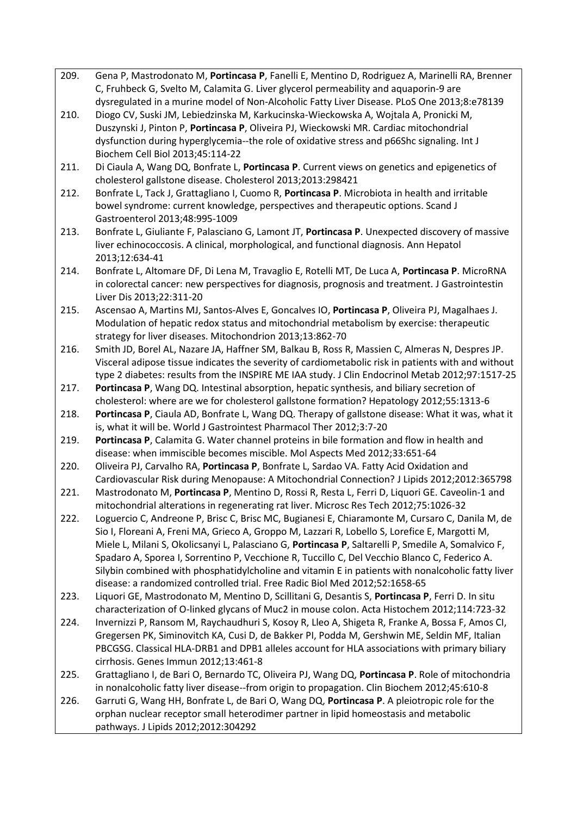- 209. Gena P, Mastrodonato M, **Portincasa P**, Fanelli E, Mentino D, Rodriguez A, Marinelli RA, Brenner C, Fruhbeck G, Svelto M, Calamita G. Liver glycerol permeability and aquaporin-9 are dysregulated in a murine model of Non-Alcoholic Fatty Liver Disease. PLoS One 2013;8:e78139
- 210. Diogo CV, Suski JM, Lebiedzinska M, Karkucinska-Wieckowska A, Wojtala A, Pronicki M, Duszynski J, Pinton P, **Portincasa P**, Oliveira PJ, Wieckowski MR. Cardiac mitochondrial dysfunction during hyperglycemia--the role of oxidative stress and p66Shc signaling. Int J Biochem Cell Biol 2013;45:114-22
- 211. Di Ciaula A, Wang DQ, Bonfrate L, **Portincasa P**. Current views on genetics and epigenetics of cholesterol gallstone disease. Cholesterol 2013;2013:298421
- 212. Bonfrate L, Tack J, Grattagliano I, Cuomo R, **Portincasa P**. Microbiota in health and irritable bowel syndrome: current knowledge, perspectives and therapeutic options. Scand J Gastroenterol 2013;48:995-1009
- 213. Bonfrate L, Giuliante F, Palasciano G, Lamont JT, **Portincasa P**. Unexpected discovery of massive liver echinococcosis. A clinical, morphological, and functional diagnosis. Ann Hepatol 2013;12:634-41
- 214. Bonfrate L, Altomare DF, Di Lena M, Travaglio E, Rotelli MT, De Luca A, **Portincasa P**. MicroRNA in colorectal cancer: new perspectives for diagnosis, prognosis and treatment. J Gastrointestin Liver Dis 2013;22:311-20
- 215. Ascensao A, Martins MJ, Santos-Alves E, Goncalves IO, **Portincasa P**, Oliveira PJ, Magalhaes J. Modulation of hepatic redox status and mitochondrial metabolism by exercise: therapeutic strategy for liver diseases. Mitochondrion 2013;13:862-70
- 216. Smith JD, Borel AL, Nazare JA, Haffner SM, Balkau B, Ross R, Massien C, Almeras N, Despres JP. Visceral adipose tissue indicates the severity of cardiometabolic risk in patients with and without type 2 diabetes: results from the INSPIRE ME IAA study. J Clin Endocrinol Metab 2012;97:1517-25
- 217. **Portincasa P**, Wang DQ. Intestinal absorption, hepatic synthesis, and biliary secretion of cholesterol: where are we for cholesterol gallstone formation? Hepatology 2012;55:1313-6
- 218. **Portincasa P**, Ciaula AD, Bonfrate L, Wang DQ. Therapy of gallstone disease: What it was, what it is, what it will be. World J Gastrointest Pharmacol Ther 2012;3:7-20
- 219. **Portincasa P**, Calamita G. Water channel proteins in bile formation and flow in health and disease: when immiscible becomes miscible. Mol Aspects Med 2012;33:651-64
- 220. Oliveira PJ, Carvalho RA, **Portincasa P**, Bonfrate L, Sardao VA. Fatty Acid Oxidation and Cardiovascular Risk during Menopause: A Mitochondrial Connection? J Lipids 2012;2012:365798
- 221. Mastrodonato M, **Portincasa P**, Mentino D, Rossi R, Resta L, Ferri D, Liquori GE. Caveolin-1 and mitochondrial alterations in regenerating rat liver. Microsc Res Tech 2012;75:1026-32
- 222. Loguercio C, Andreone P, Brisc C, Brisc MC, Bugianesi E, Chiaramonte M, Cursaro C, Danila M, de Sio I, Floreani A, Freni MA, Grieco A, Groppo M, Lazzari R, Lobello S, Lorefice E, Margotti M, Miele L, Milani S, Okolicsanyi L, Palasciano G, **Portincasa P**, Saltarelli P, Smedile A, Somalvico F, Spadaro A, Sporea I, Sorrentino P, Vecchione R, Tuccillo C, Del Vecchio Blanco C, Federico A. Silybin combined with phosphatidylcholine and vitamin E in patients with nonalcoholic fatty liver disease: a randomized controlled trial. Free Radic Biol Med 2012;52:1658-65
- 223. Liquori GE, Mastrodonato M, Mentino D, Scillitani G, Desantis S, **Portincasa P**, Ferri D. In situ characterization of O-linked glycans of Muc2 in mouse colon. Acta Histochem 2012;114:723-32
- 224. Invernizzi P, Ransom M, Raychaudhuri S, Kosoy R, Lleo A, Shigeta R, Franke A, Bossa F, Amos CI, Gregersen PK, Siminovitch KA, Cusi D, de Bakker PI, Podda M, Gershwin ME, Seldin MF, Italian PBCGSG. Classical HLA-DRB1 and DPB1 alleles account for HLA associations with primary biliary cirrhosis. Genes Immun 2012;13:461-8
- 225. Grattagliano I, de Bari O, Bernardo TC, Oliveira PJ, Wang DQ, **Portincasa P**. Role of mitochondria in nonalcoholic fatty liver disease--from origin to propagation. Clin Biochem 2012;45:610-8
- 226. Garruti G, Wang HH, Bonfrate L, de Bari O, Wang DQ, **Portincasa P**. A pleiotropic role for the orphan nuclear receptor small heterodimer partner in lipid homeostasis and metabolic pathways. J Lipids 2012;2012:304292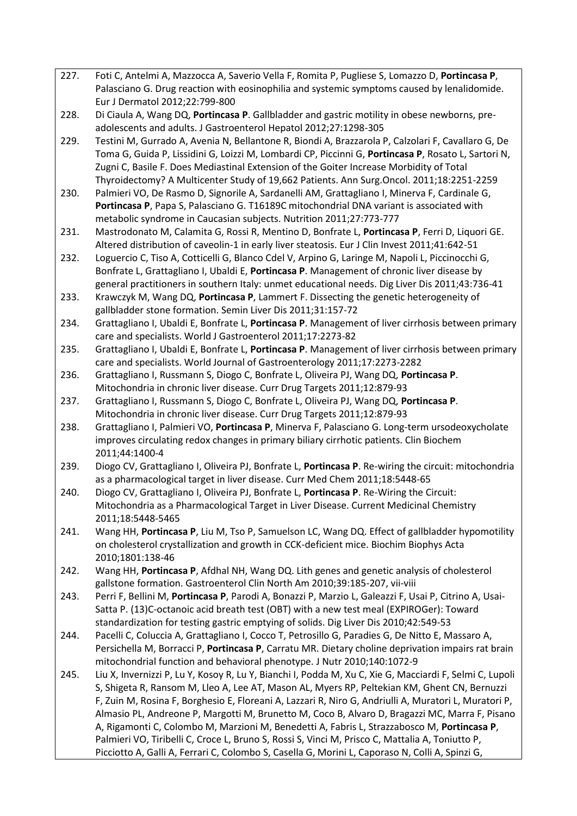- 227. Foti C, Antelmi A, Mazzocca A, Saverio Vella F, Romita P, Pugliese S, Lomazzo D, **Portincasa P**, Palasciano G. Drug reaction with eosinophilia and systemic symptoms caused by lenalidomide. Eur J Dermatol 2012;22:799-800
- 228. Di Ciaula A, Wang DQ, **Portincasa P**. Gallbladder and gastric motility in obese newborns, preadolescents and adults. J Gastroenterol Hepatol 2012;27:1298-305
- 229. Testini M, Gurrado A, Avenia N, Bellantone R, Biondi A, Brazzarola P, Calzolari F, Cavallaro G, De Toma G, Guida P, Lissidini G, Loizzi M, Lombardi CP, Piccinni G, **Portincasa P**, Rosato L, Sartori N, Zugni C, Basile F. Does Mediastinal Extension of the Goiter Increase Morbidity of Total Thyroidectomy? A Multicenter Study of 19,662 Patients. Ann Surg.Oncol. 2011;18:2251-2259
- 230. Palmieri VO, De Rasmo D, Signorile A, Sardanelli AM, Grattagliano I, Minerva F, Cardinale G, **Portincasa P**, Papa S, Palasciano G. T16189C mitochondrial DNA variant is associated with metabolic syndrome in Caucasian subjects. Nutrition 2011;27:773-777
- 231. Mastrodonato M, Calamita G, Rossi R, Mentino D, Bonfrate L, **Portincasa P**, Ferri D, Liquori GE. Altered distribution of caveolin-1 in early liver steatosis. Eur J Clin Invest 2011;41:642-51
- 232. Loguercio C, Tiso A, Cotticelli G, Blanco Cdel V, Arpino G, Laringe M, Napoli L, Piccinocchi G, Bonfrate L, Grattagliano I, Ubaldi E, **Portincasa P**. Management of chronic liver disease by general practitioners in southern Italy: unmet educational needs. Dig Liver Dis 2011;43:736-41
- 233. Krawczyk M, Wang DQ, **Portincasa P**, Lammert F. Dissecting the genetic heterogeneity of gallbladder stone formation. Semin Liver Dis 2011;31:157-72
- 234. Grattagliano I, Ubaldi E, Bonfrate L, **Portincasa P**. Management of liver cirrhosis between primary care and specialists. World J Gastroenterol 2011;17:2273-82
- 235. Grattagliano I, Ubaldi E, Bonfrate L, **Portincasa P**. Management of liver cirrhosis between primary care and specialists. World Journal of Gastroenterology 2011;17:2273-2282
- 236. Grattagliano I, Russmann S, Diogo C, Bonfrate L, Oliveira PJ, Wang DQ, **Portincasa P**. Mitochondria in chronic liver disease. Curr Drug Targets 2011;12:879-93
- 237. Grattagliano I, Russmann S, Diogo C, Bonfrate L, Oliveira PJ, Wang DQ, **Portincasa P**. Mitochondria in chronic liver disease. Curr Drug Targets 2011;12:879-93
- 238. Grattagliano I, Palmieri VO, **Portincasa P**, Minerva F, Palasciano G. Long-term ursodeoxycholate improves circulating redox changes in primary biliary cirrhotic patients. Clin Biochem 2011;44:1400-4
- 239. Diogo CV, Grattagliano I, Oliveira PJ, Bonfrate L, **Portincasa P**. Re-wiring the circuit: mitochondria as a pharmacological target in liver disease. Curr Med Chem 2011;18:5448-65
- 240. Diogo CV, Grattagliano I, Oliveira PJ, Bonfrate L, **Portincasa P**. Re-Wiring the Circuit: Mitochondria as a Pharmacological Target in Liver Disease. Current Medicinal Chemistry 2011;18:5448-5465
- 241. Wang HH, **Portincasa P**, Liu M, Tso P, Samuelson LC, Wang DQ. Effect of gallbladder hypomotility on cholesterol crystallization and growth in CCK-deficient mice. Biochim Biophys Acta 2010;1801:138-46
- 242. Wang HH, **Portincasa P**, Afdhal NH, Wang DQ. Lith genes and genetic analysis of cholesterol gallstone formation. Gastroenterol Clin North Am 2010;39:185-207, vii-viii
- 243. Perri F, Bellini M, **Portincasa P**, Parodi A, Bonazzi P, Marzio L, Galeazzi F, Usai P, Citrino A, Usai-Satta P. (13)C-octanoic acid breath test (OBT) with a new test meal (EXPIROGer): Toward standardization for testing gastric emptying of solids. Dig Liver Dis 2010;42:549-53
- 244. Pacelli C, Coluccia A, Grattagliano I, Cocco T, Petrosillo G, Paradies G, De Nitto E, Massaro A, Persichella M, Borracci P, **Portincasa P**, Carratu MR. Dietary choline deprivation impairs rat brain mitochondrial function and behavioral phenotype. J Nutr 2010;140:1072-9
- 245. Liu X, Invernizzi P, Lu Y, Kosoy R, Lu Y, Bianchi I, Podda M, Xu C, Xie G, Macciardi F, Selmi C, Lupoli S, Shigeta R, Ransom M, Lleo A, Lee AT, Mason AL, Myers RP, Peltekian KM, Ghent CN, Bernuzzi F, Zuin M, Rosina F, Borghesio E, Floreani A, Lazzari R, Niro G, Andriulli A, Muratori L, Muratori P, Almasio PL, Andreone P, Margotti M, Brunetto M, Coco B, Alvaro D, Bragazzi MC, Marra F, Pisano A, Rigamonti C, Colombo M, Marzioni M, Benedetti A, Fabris L, Strazzabosco M, **Portincasa P**, Palmieri VO, Tiribelli C, Croce L, Bruno S, Rossi S, Vinci M, Prisco C, Mattalia A, Toniutto P, Picciotto A, Galli A, Ferrari C, Colombo S, Casella G, Morini L, Caporaso N, Colli A, Spinzi G,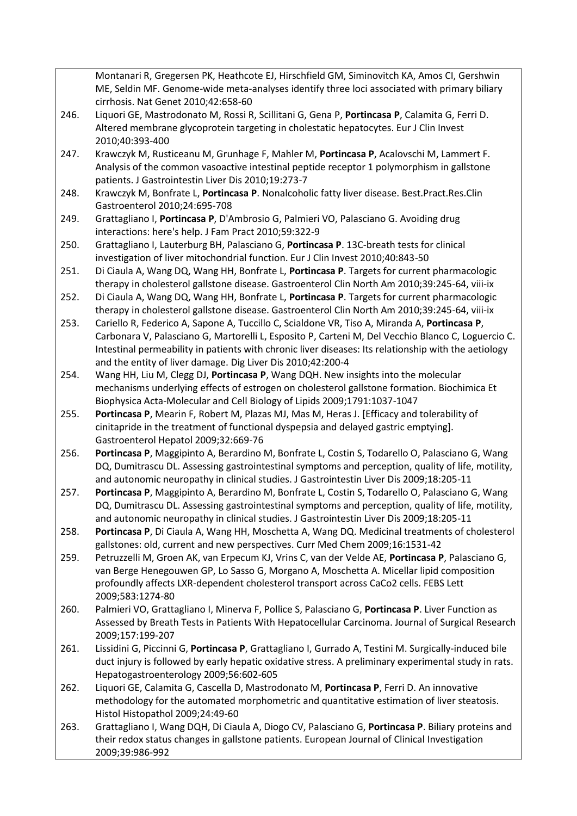Montanari R, Gregersen PK, Heathcote EJ, Hirschfield GM, Siminovitch KA, Amos CI, Gershwin ME, Seldin MF. Genome-wide meta-analyses identify three loci associated with primary biliary cirrhosis. Nat Genet 2010;42:658-60

- 246. Liquori GE, Mastrodonato M, Rossi R, Scillitani G, Gena P, **Portincasa P**, Calamita G, Ferri D. Altered membrane glycoprotein targeting in cholestatic hepatocytes. Eur J Clin Invest 2010;40:393-400
- 247. Krawczyk M, Rusticeanu M, Grunhage F, Mahler M, **Portincasa P**, Acalovschi M, Lammert F. Analysis of the common vasoactive intestinal peptide receptor 1 polymorphism in gallstone patients. J Gastrointestin Liver Dis 2010;19:273-7
- 248. Krawczyk M, Bonfrate L, **Portincasa P**. Nonalcoholic fatty liver disease. Best.Pract.Res.Clin Gastroenterol 2010;24:695-708
- 249. Grattagliano I, **Portincasa P**, D'Ambrosio G, Palmieri VO, Palasciano G. Avoiding drug interactions: here's help. J Fam Pract 2010;59:322-9
- 250. Grattagliano I, Lauterburg BH, Palasciano G, **Portincasa P**. 13C-breath tests for clinical investigation of liver mitochondrial function. Eur J Clin Invest 2010;40:843-50
- 251. Di Ciaula A, Wang DQ, Wang HH, Bonfrate L, **Portincasa P**. Targets for current pharmacologic therapy in cholesterol gallstone disease. Gastroenterol Clin North Am 2010;39:245-64, viii-ix
- 252. Di Ciaula A, Wang DQ, Wang HH, Bonfrate L, **Portincasa P**. Targets for current pharmacologic therapy in cholesterol gallstone disease. Gastroenterol Clin North Am 2010;39:245-64, viii-ix
- 253. Cariello R, Federico A, Sapone A, Tuccillo C, Scialdone VR, Tiso A, Miranda A, **Portincasa P**, Carbonara V, Palasciano G, Martorelli L, Esposito P, Carteni M, Del Vecchio Blanco C, Loguercio C. Intestinal permeability in patients with chronic liver diseases: Its relationship with the aetiology and the entity of liver damage. Dig Liver Dis 2010;42:200-4
- 254. Wang HH, Liu M, Clegg DJ, **Portincasa P**, Wang DQH. New insights into the molecular mechanisms underlying effects of estrogen on cholesterol gallstone formation. Biochimica Et Biophysica Acta-Molecular and Cell Biology of Lipids 2009;1791:1037-1047
- 255. **Portincasa P**, Mearin F, Robert M, Plazas MJ, Mas M, Heras J. [Efficacy and tolerability of cinitapride in the treatment of functional dyspepsia and delayed gastric emptying]. Gastroenterol Hepatol 2009;32:669-76
- 256. **Portincasa P**, Maggipinto A, Berardino M, Bonfrate L, Costin S, Todarello O, Palasciano G, Wang DQ, Dumitrascu DL. Assessing gastrointestinal symptoms and perception, quality of life, motility, and autonomic neuropathy in clinical studies. J Gastrointestin Liver Dis 2009;18:205-11
- 257. **Portincasa P**, Maggipinto A, Berardino M, Bonfrate L, Costin S, Todarello O, Palasciano G, Wang DQ, Dumitrascu DL. Assessing gastrointestinal symptoms and perception, quality of life, motility, and autonomic neuropathy in clinical studies. J Gastrointestin Liver Dis 2009;18:205-11
- 258. **Portincasa P**, Di Ciaula A, Wang HH, Moschetta A, Wang DQ. Medicinal treatments of cholesterol gallstones: old, current and new perspectives. Curr Med Chem 2009;16:1531-42
- 259. Petruzzelli M, Groen AK, van Erpecum KJ, Vrins C, van der Velde AE, **Portincasa P**, Palasciano G, van Berge Henegouwen GP, Lo Sasso G, Morgano A, Moschetta A. Micellar lipid composition profoundly affects LXR-dependent cholesterol transport across CaCo2 cells. FEBS Lett 2009;583:1274-80
- 260. Palmieri VO, Grattagliano I, Minerva F, Pollice S, Palasciano G, **Portincasa P**. Liver Function as Assessed by Breath Tests in Patients With Hepatocellular Carcinoma. Journal of Surgical Research 2009;157:199-207
- 261. Lissidini G, Piccinni G, **Portincasa P**, Grattagliano I, Gurrado A, Testini M. Surgically-induced bile duct injury is followed by early hepatic oxidative stress. A preliminary experimental study in rats. Hepatogastroenterology 2009;56:602-605
- 262. Liquori GE, Calamita G, Cascella D, Mastrodonato M, **Portincasa P**, Ferri D. An innovative methodology for the automated morphometric and quantitative estimation of liver steatosis. Histol Histopathol 2009;24:49-60
- 263. Grattagliano I, Wang DQH, Di Ciaula A, Diogo CV, Palasciano G, **Portincasa P**. Biliary proteins and their redox status changes in gallstone patients. European Journal of Clinical Investigation 2009;39:986-992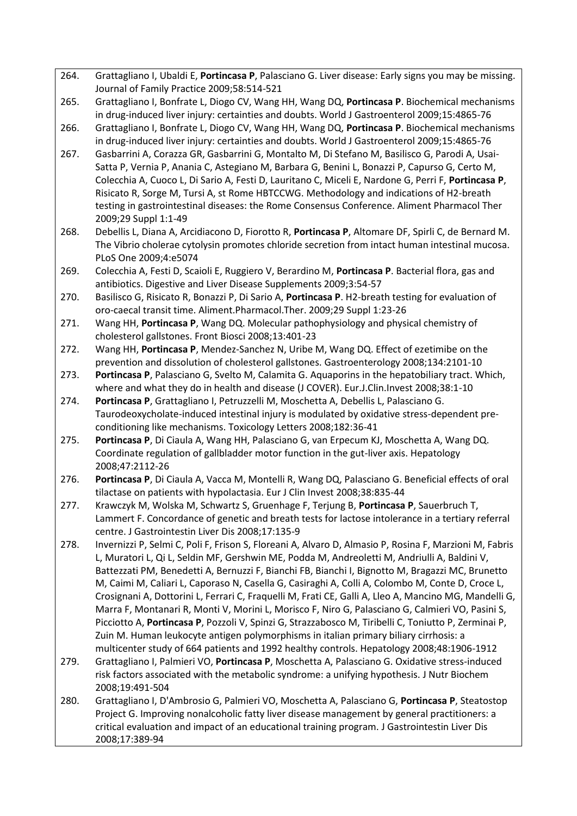- 264. Grattagliano I, Ubaldi E, **Portincasa P**, Palasciano G. Liver disease: Early signs you may be missing. Journal of Family Practice 2009;58:514-521
- 265. Grattagliano I, Bonfrate L, Diogo CV, Wang HH, Wang DQ, **Portincasa P**. Biochemical mechanisms in drug-induced liver injury: certainties and doubts. World J Gastroenterol 2009;15:4865-76
- 266. Grattagliano I, Bonfrate L, Diogo CV, Wang HH, Wang DQ, **Portincasa P**. Biochemical mechanisms in drug-induced liver injury: certainties and doubts. World J Gastroenterol 2009;15:4865-76
- 267. Gasbarrini A, Corazza GR, Gasbarrini G, Montalto M, Di Stefano M, Basilisco G, Parodi A, Usai-Satta P, Vernia P, Anania C, Astegiano M, Barbara G, Benini L, Bonazzi P, Capurso G, Certo M, Colecchia A, Cuoco L, Di Sario A, Festi D, Lauritano C, Miceli E, Nardone G, Perri F, **Portincasa P**, Risicato R, Sorge M, Tursi A, st Rome HBTCCWG. Methodology and indications of H2-breath testing in gastrointestinal diseases: the Rome Consensus Conference. Aliment Pharmacol Ther 2009;29 Suppl 1:1-49
- 268. Debellis L, Diana A, Arcidiacono D, Fiorotto R, **Portincasa P**, Altomare DF, Spirli C, de Bernard M. The Vibrio cholerae cytolysin promotes chloride secretion from intact human intestinal mucosa. PLoS One 2009;4:e5074
- 269. Colecchia A, Festi D, Scaioli E, Ruggiero V, Berardino M, **Portincasa P**. Bacterial flora, gas and antibiotics. Digestive and Liver Disease Supplements 2009;3:54-57
- 270. Basilisco G, Risicato R, Bonazzi P, Di Sario A, **Portincasa P**. H2-breath testing for evaluation of oro-caecal transit time. Aliment.Pharmacol.Ther. 2009;29 Suppl 1:23-26
- 271. Wang HH, **Portincasa P**, Wang DQ. Molecular pathophysiology and physical chemistry of cholesterol gallstones. Front Biosci 2008;13:401-23
- 272. Wang HH, **Portincasa P**, Mendez-Sanchez N, Uribe M, Wang DQ. Effect of ezetimibe on the prevention and dissolution of cholesterol gallstones. Gastroenterology 2008;134:2101-10
- 273. **Portincasa P**, Palasciano G, Svelto M, Calamita G. Aquaporins in the hepatobiliary tract. Which, where and what they do in health and disease (J COVER). Eur.J.Clin.Invest 2008;38:1-10
- 274. **Portincasa P**, Grattagliano I, Petruzzelli M, Moschetta A, Debellis L, Palasciano G. Taurodeoxycholate-induced intestinal injury is modulated by oxidative stress-dependent preconditioning like mechanisms. Toxicology Letters 2008;182:36-41
- 275. **Portincasa P**, Di Ciaula A, Wang HH, Palasciano G, van Erpecum KJ, Moschetta A, Wang DQ. Coordinate regulation of gallbladder motor function in the gut-liver axis. Hepatology 2008;47:2112-26
- 276. **Portincasa P**, Di Ciaula A, Vacca M, Montelli R, Wang DQ, Palasciano G. Beneficial effects of oral tilactase on patients with hypolactasia. Eur J Clin Invest 2008;38:835-44
- 277. Krawczyk M, Wolska M, Schwartz S, Gruenhage F, Terjung B, **Portincasa P**, Sauerbruch T, Lammert F. Concordance of genetic and breath tests for lactose intolerance in a tertiary referral centre. J Gastrointestin Liver Dis 2008;17:135-9
- 278. Invernizzi P, Selmi C, Poli F, Frison S, Floreani A, Alvaro D, Almasio P, Rosina F, Marzioni M, Fabris L, Muratori L, Qi L, Seldin MF, Gershwin ME, Podda M, Andreoletti M, Andriulli A, Baldini V, Battezzati PM, Benedetti A, Bernuzzi F, Bianchi FB, Bianchi I, Bignotto M, Bragazzi MC, Brunetto M, Caimi M, Caliari L, Caporaso N, Casella G, Casiraghi A, Colli A, Colombo M, Conte D, Croce L, Crosignani A, Dottorini L, Ferrari C, Fraquelli M, Frati CE, Galli A, Lleo A, Mancino MG, Mandelli G, Marra F, Montanari R, Monti V, Morini L, Morisco F, Niro G, Palasciano G, Calmieri VO, Pasini S, Picciotto A, **Portincasa P**, Pozzoli V, Spinzi G, Strazzabosco M, Tiribelli C, Toniutto P, Zerminai P, Zuin M. Human leukocyte antigen polymorphisms in italian primary biliary cirrhosis: a multicenter study of 664 patients and 1992 healthy controls. Hepatology 2008;48:1906-1912
- 279. Grattagliano I, Palmieri VO, **Portincasa P**, Moschetta A, Palasciano G. Oxidative stress-induced risk factors associated with the metabolic syndrome: a unifying hypothesis. J Nutr Biochem 2008;19:491-504
- 280. Grattagliano I, D'Ambrosio G, Palmieri VO, Moschetta A, Palasciano G, **Portincasa P**, Steatostop Project G. Improving nonalcoholic fatty liver disease management by general practitioners: a critical evaluation and impact of an educational training program. J Gastrointestin Liver Dis 2008;17:389-94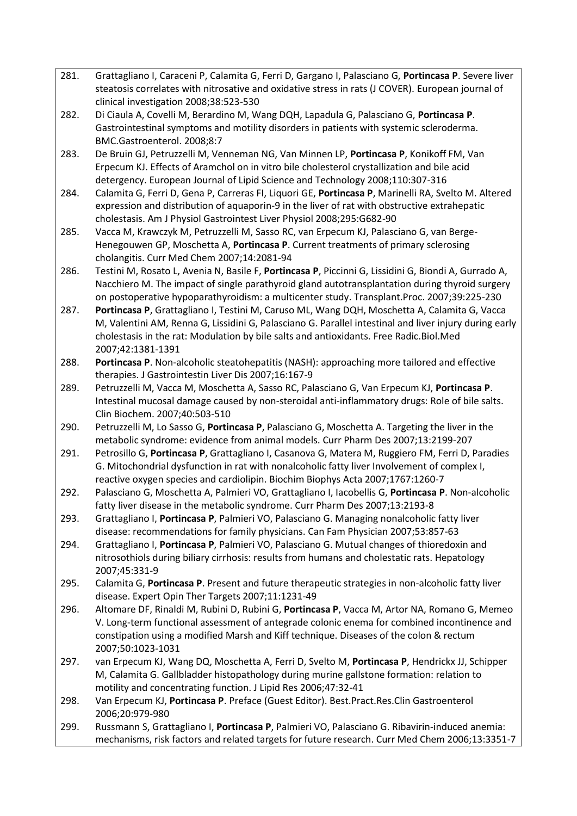- 281. Grattagliano I, Caraceni P, Calamita G, Ferri D, Gargano I, Palasciano G, **Portincasa P**. Severe liver steatosis correlates with nitrosative and oxidative stress in rats (J COVER). European journal of clinical investigation 2008;38:523-530
- 282. Di Ciaula A, Covelli M, Berardino M, Wang DQH, Lapadula G, Palasciano G, **Portincasa P**. Gastrointestinal symptoms and motility disorders in patients with systemic scleroderma. BMC.Gastroenterol. 2008;8:7
- 283. De Bruin GJ, Petruzzelli M, Venneman NG, Van Minnen LP, **Portincasa P**, Konikoff FM, Van Erpecum KJ. Effects of Aramchol on in vitro bile cholesterol crystallization and bile acid detergency. European Journal of Lipid Science and Technology 2008;110:307-316
- 284. Calamita G, Ferri D, Gena P, Carreras FI, Liquori GE, **Portincasa P**, Marinelli RA, Svelto M. Altered expression and distribution of aquaporin-9 in the liver of rat with obstructive extrahepatic cholestasis. Am J Physiol Gastrointest Liver Physiol 2008;295:G682-90
- 285. Vacca M, Krawczyk M, Petruzzelli M, Sasso RC, van Erpecum KJ, Palasciano G, van Berge-Henegouwen GP, Moschetta A, **Portincasa P**. Current treatments of primary sclerosing cholangitis. Curr Med Chem 2007;14:2081-94
- 286. Testini M, Rosato L, Avenia N, Basile F, **Portincasa P**, Piccinni G, Lissidini G, Biondi A, Gurrado A, Nacchiero M. The impact of single parathyroid gland autotransplantation during thyroid surgery on postoperative hypoparathyroidism: a multicenter study. Transplant.Proc. 2007;39:225-230
- 287. **Portincasa P**, Grattagliano I, Testini M, Caruso ML, Wang DQH, Moschetta A, Calamita G, Vacca M, Valentini AM, Renna G, Lissidini G, Palasciano G. Parallel intestinal and liver injury during early cholestasis in the rat: Modulation by bile salts and antioxidants. Free Radic.Biol.Med 2007;42:1381-1391
- 288. **Portincasa P**. Non-alcoholic steatohepatitis (NASH): approaching more tailored and effective therapies. J Gastrointestin Liver Dis 2007;16:167-9
- 289. Petruzzelli M, Vacca M, Moschetta A, Sasso RC, Palasciano G, Van Erpecum KJ, **Portincasa P**. Intestinal mucosal damage caused by non-steroidal anti-inflammatory drugs: Role of bile salts. Clin Biochem. 2007;40:503-510
- 290. Petruzzelli M, Lo Sasso G, **Portincasa P**, Palasciano G, Moschetta A. Targeting the liver in the metabolic syndrome: evidence from animal models. Curr Pharm Des 2007;13:2199-207
- 291. Petrosillo G, **Portincasa P**, Grattagliano I, Casanova G, Matera M, Ruggiero FM, Ferri D, Paradies G. Mitochondrial dysfunction in rat with nonalcoholic fatty liver Involvement of complex I, reactive oxygen species and cardiolipin. Biochim Biophys Acta 2007;1767:1260-7
- 292. Palasciano G, Moschetta A, Palmieri VO, Grattagliano I, Iacobellis G, **Portincasa P**. Non-alcoholic fatty liver disease in the metabolic syndrome. Curr Pharm Des 2007;13:2193-8
- 293. Grattagliano I, **Portincasa P**, Palmieri VO, Palasciano G. Managing nonalcoholic fatty liver disease: recommendations for family physicians. Can Fam Physician 2007;53:857-63
- 294. Grattagliano I, **Portincasa P**, Palmieri VO, Palasciano G. Mutual changes of thioredoxin and nitrosothiols during biliary cirrhosis: results from humans and cholestatic rats. Hepatology 2007;45:331-9
- 295. Calamita G, **Portincasa P**. Present and future therapeutic strategies in non-alcoholic fatty liver disease. Expert Opin Ther Targets 2007;11:1231-49
- 296. Altomare DF, Rinaldi M, Rubini D, Rubini G, **Portincasa P**, Vacca M, Artor NA, Romano G, Memeo V. Long-term functional assessment of antegrade colonic enema for combined incontinence and constipation using a modified Marsh and Kiff technique. Diseases of the colon & rectum 2007;50:1023-1031
- 297. van Erpecum KJ, Wang DQ, Moschetta A, Ferri D, Svelto M, **Portincasa P**, Hendrickx JJ, Schipper M, Calamita G. Gallbladder histopathology during murine gallstone formation: relation to motility and concentrating function. J Lipid Res 2006;47:32-41
- 298. Van Erpecum KJ, **Portincasa P**. Preface (Guest Editor). Best.Pract.Res.Clin Gastroenterol 2006;20:979-980
- 299. Russmann S, Grattagliano I, **Portincasa P**, Palmieri VO, Palasciano G. Ribavirin-induced anemia: mechanisms, risk factors and related targets for future research. Curr Med Chem 2006;13:3351-7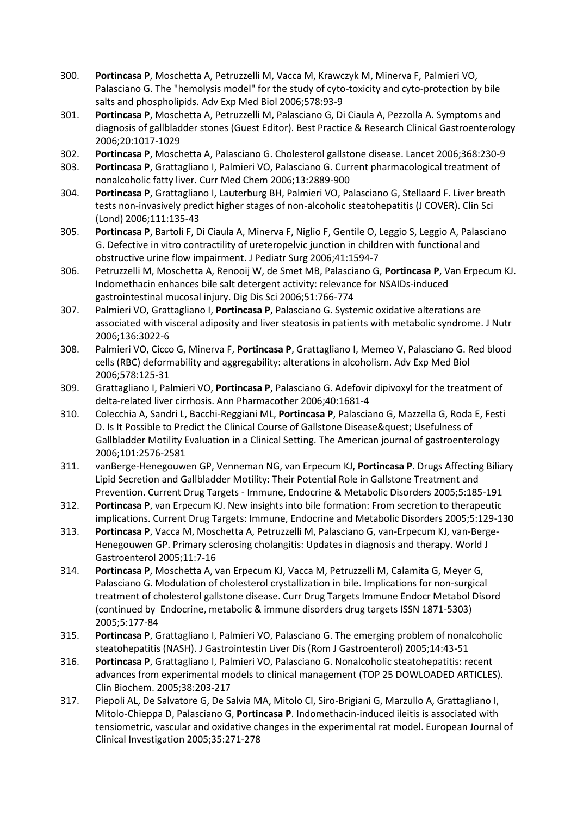- 300. **Portincasa P**, Moschetta A, Petruzzelli M, Vacca M, Krawczyk M, Minerva F, Palmieri VO, Palasciano G. The "hemolysis model" for the study of cyto-toxicity and cyto-protection by bile salts and phospholipids. Adv Exp Med Biol 2006;578:93-9
- 301. **Portincasa P**, Moschetta A, Petruzzelli M, Palasciano G, Di Ciaula A, Pezzolla A. Symptoms and diagnosis of gallbladder stones (Guest Editor). Best Practice & Research Clinical Gastroenterology 2006;20:1017-1029
- 302. **Portincasa P**, Moschetta A, Palasciano G. Cholesterol gallstone disease. Lancet 2006;368:230-9
- 303. **Portincasa P**, Grattagliano I, Palmieri VO, Palasciano G. Current pharmacological treatment of nonalcoholic fatty liver. Curr Med Chem 2006;13:2889-900
- 304. **Portincasa P**, Grattagliano I, Lauterburg BH, Palmieri VO, Palasciano G, Stellaard F. Liver breath tests non-invasively predict higher stages of non-alcoholic steatohepatitis (J COVER). Clin Sci (Lond) 2006;111:135-43
- 305. **Portincasa P**, Bartoli F, Di Ciaula A, Minerva F, Niglio F, Gentile O, Leggio S, Leggio A, Palasciano G. Defective in vitro contractility of ureteropelvic junction in children with functional and obstructive urine flow impairment. J Pediatr Surg 2006;41:1594-7
- 306. Petruzzelli M, Moschetta A, Renooij W, de Smet MB, Palasciano G, **Portincasa P**, Van Erpecum KJ. Indomethacin enhances bile salt detergent activity: relevance for NSAIDs-induced gastrointestinal mucosal injury. Dig Dis Sci 2006;51:766-774
- 307. Palmieri VO, Grattagliano I, **Portincasa P**, Palasciano G. Systemic oxidative alterations are associated with visceral adiposity and liver steatosis in patients with metabolic syndrome. J Nutr 2006;136:3022-6
- 308. Palmieri VO, Cicco G, Minerva F, **Portincasa P**, Grattagliano I, Memeo V, Palasciano G. Red blood cells (RBC) deformability and aggregability: alterations in alcoholism. Adv Exp Med Biol 2006;578:125-31
- 309. Grattagliano I, Palmieri VO, **Portincasa P**, Palasciano G. Adefovir dipivoxyl for the treatment of delta-related liver cirrhosis. Ann Pharmacother 2006;40:1681-4
- 310. Colecchia A, Sandri L, Bacchi-Reggiani ML, **Portincasa P**, Palasciano G, Mazzella G, Roda E, Festi D. Is It Possible to Predict the Clinical Course of Gallstone Disease? Usefulness of Gallbladder Motility Evaluation in a Clinical Setting. The American journal of gastroenterology 2006;101:2576-2581
- 311. vanBerge-Henegouwen GP, Venneman NG, van Erpecum KJ, **Portincasa P**. Drugs Affecting Biliary Lipid Secretion and Gallbladder Motility: Their Potential Role in Gallstone Treatment and Prevention. Current Drug Targets - Immune, Endocrine & Metabolic Disorders 2005;5:185-191
- 312. **Portincasa P**, van Erpecum KJ. New insights into bile formation: From secretion to therapeutic implications. Current Drug Targets: Immune, Endocrine and Metabolic Disorders 2005;5:129-130
- 313. **Portincasa P**, Vacca M, Moschetta A, Petruzzelli M, Palasciano G, van-Erpecum KJ, van-Berge-Henegouwen GP. Primary sclerosing cholangitis: Updates in diagnosis and therapy. World J Gastroenterol 2005;11:7-16
- 314. **Portincasa P**, Moschetta A, van Erpecum KJ, Vacca M, Petruzzelli M, Calamita G, Meyer G, Palasciano G. Modulation of cholesterol crystallization in bile. Implications for non-surgical treatment of cholesterol gallstone disease. Curr Drug Targets Immune Endocr Metabol Disord (continued by Endocrine, metabolic & immune disorders drug targets ISSN 1871-5303) 2005;5:177-84
- 315. **Portincasa P**, Grattagliano I, Palmieri VO, Palasciano G. The emerging problem of nonalcoholic steatohepatitis (NASH). J Gastrointestin Liver Dis (Rom J Gastroenterol) 2005;14:43-51
- 316. **Portincasa P**, Grattagliano I, Palmieri VO, Palasciano G. Nonalcoholic steatohepatitis: recent advances from experimental models to clinical management (TOP 25 DOWLOADED ARTICLES). Clin Biochem. 2005;38:203-217
- 317. Piepoli AL, De Salvatore G, De Salvia MA, Mitolo CI, Siro-Brigiani G, Marzullo A, Grattagliano I, Mitolo-Chieppa D, Palasciano G, **Portincasa P**. Indomethacin-induced ileitis is associated with tensiometric, vascular and oxidative changes in the experimental rat model. European Journal of Clinical Investigation 2005;35:271-278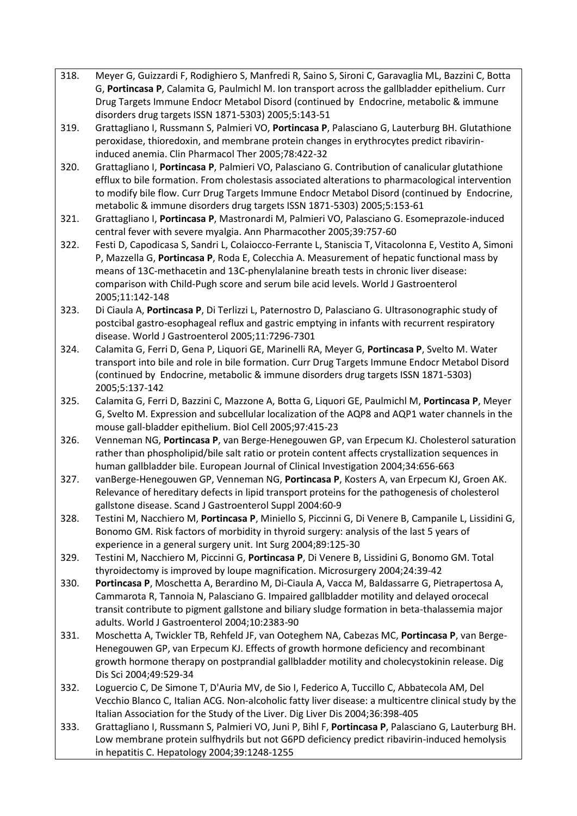- 318. Meyer G, Guizzardi F, Rodighiero S, Manfredi R, Saino S, Sironi C, Garavaglia ML, Bazzini C, Botta G, **Portincasa P**, Calamita G, Paulmichl M. Ion transport across the gallbladder epithelium. Curr Drug Targets Immune Endocr Metabol Disord (continued by Endocrine, metabolic & immune disorders drug targets ISSN 1871-5303) 2005;5:143-51
- 319. Grattagliano I, Russmann S, Palmieri VO, **Portincasa P**, Palasciano G, Lauterburg BH. Glutathione peroxidase, thioredoxin, and membrane protein changes in erythrocytes predict ribavirininduced anemia. Clin Pharmacol Ther 2005;78:422-32
- 320. Grattagliano I, **Portincasa P**, Palmieri VO, Palasciano G. Contribution of canalicular glutathione efflux to bile formation. From cholestasis associated alterations to pharmacological intervention to modify bile flow. Curr Drug Targets Immune Endocr Metabol Disord (continued by Endocrine, metabolic & immune disorders drug targets ISSN 1871-5303) 2005;5:153-61
- 321. Grattagliano I, **Portincasa P**, Mastronardi M, Palmieri VO, Palasciano G. Esomeprazole-induced central fever with severe myalgia. Ann Pharmacother 2005;39:757-60
- 322. Festi D, Capodicasa S, Sandri L, Colaiocco-Ferrante L, Staniscia T, Vitacolonna E, Vestito A, Simoni P, Mazzella G, **Portincasa P**, Roda E, Colecchia A. Measurement of hepatic functional mass by means of 13C-methacetin and 13C-phenylalanine breath tests in chronic liver disease: comparison with Child-Pugh score and serum bile acid levels. World J Gastroenterol 2005;11:142-148
- 323. Di Ciaula A, **Portincasa P**, Di Terlizzi L, Paternostro D, Palasciano G. Ultrasonographic study of postcibal gastro-esophageal reflux and gastric emptying in infants with recurrent respiratory disease. World J Gastroenterol 2005;11:7296-7301
- 324. Calamita G, Ferri D, Gena P, Liquori GE, Marinelli RA, Meyer G, **Portincasa P**, Svelto M. Water transport into bile and role in bile formation. Curr Drug Targets Immune Endocr Metabol Disord (continued by Endocrine, metabolic & immune disorders drug targets ISSN 1871-5303) 2005;5:137-142
- 325. Calamita G, Ferri D, Bazzini C, Mazzone A, Botta G, Liquori GE, Paulmichl M, **Portincasa P**, Meyer G, Svelto M. Expression and subcellular localization of the AQP8 and AQP1 water channels in the mouse gall-bladder epithelium. Biol Cell 2005;97:415-23
- 326. Venneman NG, **Portincasa P**, van Berge-Henegouwen GP, van Erpecum KJ. Cholesterol saturation rather than phospholipid/bile salt ratio or protein content affects crystallization sequences in human gallbladder bile. European Journal of Clinical Investigation 2004;34:656-663
- 327. vanBerge-Henegouwen GP, Venneman NG, **Portincasa P**, Kosters A, van Erpecum KJ, Groen AK. Relevance of hereditary defects in lipid transport proteins for the pathogenesis of cholesterol gallstone disease. Scand J Gastroenterol Suppl 2004:60-9
- 328. Testini M, Nacchiero M, **Portincasa P**, Miniello S, Piccinni G, Di Venere B, Campanile L, Lissidini G, Bonomo GM. Risk factors of morbidity in thyroid surgery: analysis of the last 5 years of experience in a general surgery unit. Int Surg 2004;89:125-30
- 329. Testini M, Nacchiero M, Piccinni G, **Portincasa P**, Di Venere B, Lissidini G, Bonomo GM. Total thyroidectomy is improved by loupe magnification. Microsurgery 2004;24:39-42
- 330. **Portincasa P**, Moschetta A, Berardino M, Di-Ciaula A, Vacca M, Baldassarre G, Pietrapertosa A, Cammarota R, Tannoia N, Palasciano G. Impaired gallbladder motility and delayed orocecal transit contribute to pigment gallstone and biliary sludge formation in beta-thalassemia major adults. World J Gastroenterol 2004;10:2383-90
- 331. Moschetta A, Twickler TB, Rehfeld JF, van Ooteghem NA, Cabezas MC, **Portincasa P**, van Berge-Henegouwen GP, van Erpecum KJ. Effects of growth hormone deficiency and recombinant growth hormone therapy on postprandial gallbladder motility and cholecystokinin release. Dig Dis Sci 2004;49:529-34
- 332. Loguercio C, De Simone T, D'Auria MV, de Sio I, Federico A, Tuccillo C, Abbatecola AM, Del Vecchio Blanco C, Italian ACG. Non-alcoholic fatty liver disease: a multicentre clinical study by the Italian Association for the Study of the Liver. Dig Liver Dis 2004;36:398-405
- 333. Grattagliano I, Russmann S, Palmieri VO, Juni P, Bihl F, **Portincasa P**, Palasciano G, Lauterburg BH. Low membrane protein sulfhydrils but not G6PD deficiency predict ribavirin-induced hemolysis in hepatitis C. Hepatology 2004;39:1248-1255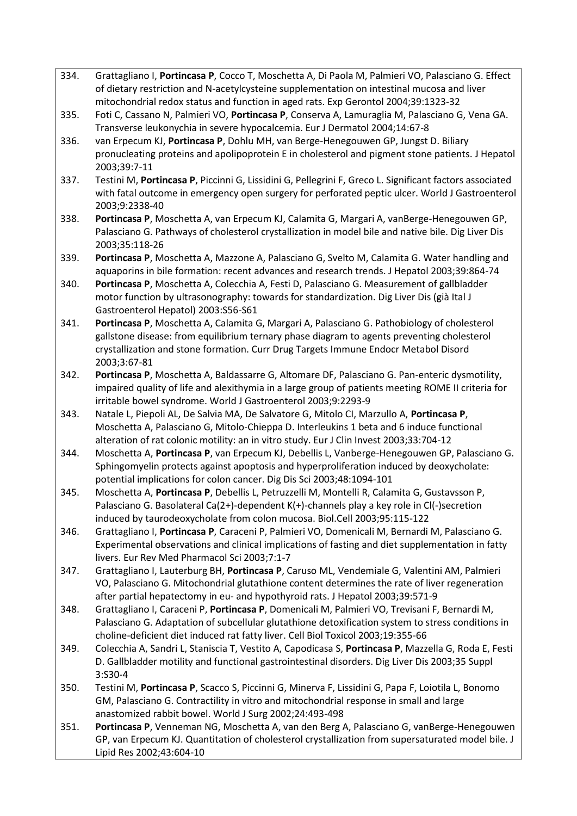- 334. Grattagliano I, **Portincasa P**, Cocco T, Moschetta A, Di Paola M, Palmieri VO, Palasciano G. Effect of dietary restriction and N-acetylcysteine supplementation on intestinal mucosa and liver mitochondrial redox status and function in aged rats. Exp Gerontol 2004;39:1323-32
- 335. Foti C, Cassano N, Palmieri VO, **Portincasa P**, Conserva A, Lamuraglia M, Palasciano G, Vena GA. Transverse leukonychia in severe hypocalcemia. Eur J Dermatol 2004;14:67-8
- 336. van Erpecum KJ, **Portincasa P**, Dohlu MH, van Berge-Henegouwen GP, Jungst D. Biliary pronucleating proteins and apolipoprotein E in cholesterol and pigment stone patients. J Hepatol 2003;39:7-11
- 337. Testini M, **Portincasa P**, Piccinni G, Lissidini G, Pellegrini F, Greco L. Significant factors associated with fatal outcome in emergency open surgery for perforated peptic ulcer. World J Gastroenterol 2003;9:2338-40
- 338. **Portincasa P**, Moschetta A, van Erpecum KJ, Calamita G, Margari A, vanBerge-Henegouwen GP, Palasciano G. Pathways of cholesterol crystallization in model bile and native bile. Dig Liver Dis 2003;35:118-26
- 339. **Portincasa P**, Moschetta A, Mazzone A, Palasciano G, Svelto M, Calamita G. Water handling and aquaporins in bile formation: recent advances and research trends. J Hepatol 2003;39:864-74
- 340. **Portincasa P**, Moschetta A, Colecchia A, Festi D, Palasciano G. Measurement of gallbladder motor function by ultrasonography: towards for standardization. Dig Liver Dis (già Ital J Gastroenterol Hepatol) 2003:S56-S61
- 341. **Portincasa P**, Moschetta A, Calamita G, Margari A, Palasciano G. Pathobiology of cholesterol gallstone disease: from equilibrium ternary phase diagram to agents preventing cholesterol crystallization and stone formation. Curr Drug Targets Immune Endocr Metabol Disord 2003;3:67-81
- 342. **Portincasa P**, Moschetta A, Baldassarre G, Altomare DF, Palasciano G. Pan-enteric dysmotility, impaired quality of life and alexithymia in a large group of patients meeting ROME II criteria for irritable bowel syndrome. World J Gastroenterol 2003;9:2293-9
- 343. Natale L, Piepoli AL, De Salvia MA, De Salvatore G, Mitolo CI, Marzullo A, **Portincasa P**, Moschetta A, Palasciano G, Mitolo-Chieppa D. Interleukins 1 beta and 6 induce functional alteration of rat colonic motility: an in vitro study. Eur J Clin Invest 2003;33:704-12
- 344. Moschetta A, **Portincasa P**, van Erpecum KJ, Debellis L, Vanberge-Henegouwen GP, Palasciano G. Sphingomyelin protects against apoptosis and hyperproliferation induced by deoxycholate: potential implications for colon cancer. Dig Dis Sci 2003;48:1094-101
- 345. Moschetta A, **Portincasa P**, Debellis L, Petruzzelli M, Montelli R, Calamita G, Gustavsson P, Palasciano G. Basolateral Ca(2+)-dependent K(+)-channels play a key role in Cl(-)secretion induced by taurodeoxycholate from colon mucosa. Biol.Cell 2003;95:115-122
- 346. Grattagliano I, **Portincasa P**, Caraceni P, Palmieri VO, Domenicali M, Bernardi M, Palasciano G. Experimental observations and clinical implications of fasting and diet supplementation in fatty livers. Eur Rev Med Pharmacol Sci 2003;7:1-7
- 347. Grattagliano I, Lauterburg BH, **Portincasa P**, Caruso ML, Vendemiale G, Valentini AM, Palmieri VO, Palasciano G. Mitochondrial glutathione content determines the rate of liver regeneration after partial hepatectomy in eu- and hypothyroid rats. J Hepatol 2003;39:571-9
- 348. Grattagliano I, Caraceni P, **Portincasa P**, Domenicali M, Palmieri VO, Trevisani F, Bernardi M, Palasciano G. Adaptation of subcellular glutathione detoxification system to stress conditions in choline-deficient diet induced rat fatty liver. Cell Biol Toxicol 2003;19:355-66
- 349. Colecchia A, Sandri L, Staniscia T, Vestito A, Capodicasa S, **Portincasa P**, Mazzella G, Roda E, Festi D. Gallbladder motility and functional gastrointestinal disorders. Dig Liver Dis 2003;35 Suppl 3:S30-4
- 350. Testini M, **Portincasa P**, Scacco S, Piccinni G, Minerva F, Lissidini G, Papa F, Loiotila L, Bonomo GM, Palasciano G. Contractility in vitro and mitochondrial response in small and large anastomized rabbit bowel. World J Surg 2002;24:493-498
- 351. **Portincasa P**, Venneman NG, Moschetta A, van den Berg A, Palasciano G, vanBerge-Henegouwen GP, van Erpecum KJ. Quantitation of cholesterol crystallization from supersaturated model bile. J Lipid Res 2002;43:604-10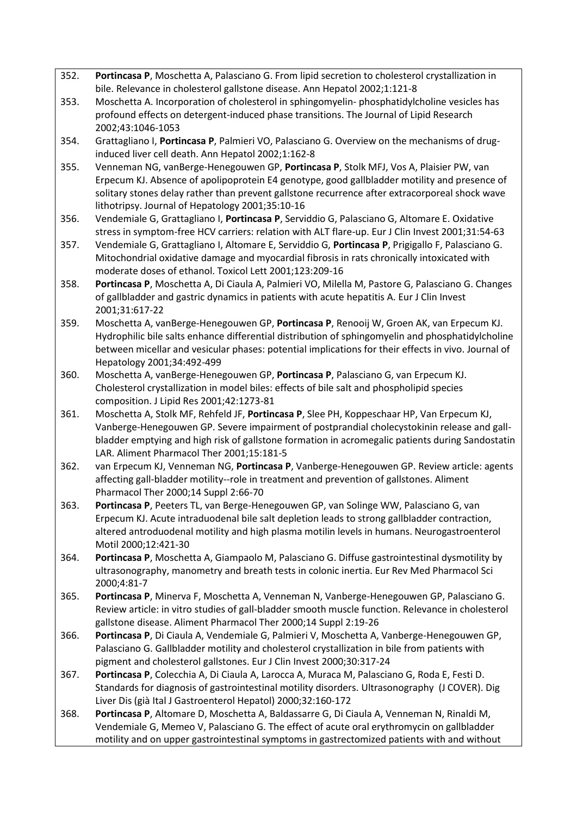- 352. **Portincasa P**, Moschetta A, Palasciano G. From lipid secretion to cholesterol crystallization in bile. Relevance in cholesterol gallstone disease. Ann Hepatol 2002;1:121-8
- 353. Moschetta A. Incorporation of cholesterol in sphingomyelin- phosphatidylcholine vesicles has profound effects on detergent-induced phase transitions. The Journal of Lipid Research 2002;43:1046-1053
- 354. Grattagliano I, **Portincasa P**, Palmieri VO, Palasciano G. Overview on the mechanisms of druginduced liver cell death. Ann Hepatol 2002;1:162-8
- 355. Venneman NG, vanBerge-Henegouwen GP, **Portincasa P**, Stolk MFJ, Vos A, Plaisier PW, van Erpecum KJ. Absence of apolipoprotein E4 genotype, good gallbladder motility and presence of solitary stones delay rather than prevent gallstone recurrence after extracorporeal shock wave lithotripsy. Journal of Hepatology 2001;35:10-16
- 356. Vendemiale G, Grattagliano I, **Portincasa P**, Serviddio G, Palasciano G, Altomare E. Oxidative stress in symptom-free HCV carriers: relation with ALT flare-up. Eur J Clin Invest 2001;31:54-63
- 357. Vendemiale G, Grattagliano I, Altomare E, Serviddio G, **Portincasa P**, Prigigallo F, Palasciano G. Mitochondrial oxidative damage and myocardial fibrosis in rats chronically intoxicated with moderate doses of ethanol. Toxicol Lett 2001;123:209-16
- 358. **Portincasa P**, Moschetta A, Di Ciaula A, Palmieri VO, Milella M, Pastore G, Palasciano G. Changes of gallbladder and gastric dynamics in patients with acute hepatitis A. Eur J Clin Invest 2001;31:617-22
- 359. Moschetta A, vanBerge-Henegouwen GP, **Portincasa P**, Renooij W, Groen AK, van Erpecum KJ. Hydrophilic bile salts enhance differential distribution of sphingomyelin and phosphatidylcholine between micellar and vesicular phases: potential implications for their effects in vivo. Journal of Hepatology 2001;34:492-499
- 360. Moschetta A, vanBerge-Henegouwen GP, **Portincasa P**, Palasciano G, van Erpecum KJ. Cholesterol crystallization in model biles: effects of bile salt and phospholipid species composition. J Lipid Res 2001;42:1273-81
- 361. Moschetta A, Stolk MF, Rehfeld JF, **Portincasa P**, Slee PH, Koppeschaar HP, Van Erpecum KJ, Vanberge-Henegouwen GP. Severe impairment of postprandial cholecystokinin release and gallbladder emptying and high risk of gallstone formation in acromegalic patients during Sandostatin LAR. Aliment Pharmacol Ther 2001;15:181-5
- 362. van Erpecum KJ, Venneman NG, **Portincasa P**, Vanberge-Henegouwen GP. Review article: agents affecting gall-bladder motility--role in treatment and prevention of gallstones. Aliment Pharmacol Ther 2000;14 Suppl 2:66-70
- 363. **Portincasa P**, Peeters TL, van Berge-Henegouwen GP, van Solinge WW, Palasciano G, van Erpecum KJ. Acute intraduodenal bile salt depletion leads to strong gallbladder contraction, altered antroduodenal motility and high plasma motilin levels in humans. Neurogastroenterol Motil 2000;12:421-30
- 364. **Portincasa P**, Moschetta A, Giampaolo M, Palasciano G. Diffuse gastrointestinal dysmotility by ultrasonography, manometry and breath tests in colonic inertia. Eur Rev Med Pharmacol Sci 2000;4:81-7
- 365. **Portincasa P**, Minerva F, Moschetta A, Venneman N, Vanberge-Henegouwen GP, Palasciano G. Review article: in vitro studies of gall-bladder smooth muscle function. Relevance in cholesterol gallstone disease. Aliment Pharmacol Ther 2000;14 Suppl 2:19-26
- 366. **Portincasa P**, Di Ciaula A, Vendemiale G, Palmieri V, Moschetta A, Vanberge-Henegouwen GP, Palasciano G. Gallbladder motility and cholesterol crystallization in bile from patients with pigment and cholesterol gallstones. Eur J Clin Invest 2000;30:317-24
- 367. **Portincasa P**, Colecchia A, Di Ciaula A, Larocca A, Muraca M, Palasciano G, Roda E, Festi D. Standards for diagnosis of gastrointestinal motility disorders. Ultrasonography (J COVER). Dig Liver Dis (già Ital J Gastroenterol Hepatol) 2000;32:160-172
- 368. **Portincasa P**, Altomare D, Moschetta A, Baldassarre G, Di Ciaula A, Venneman N, Rinaldi M, Vendemiale G, Memeo V, Palasciano G. The effect of acute oral erythromycin on gallbladder motility and on upper gastrointestinal symptoms in gastrectomized patients with and without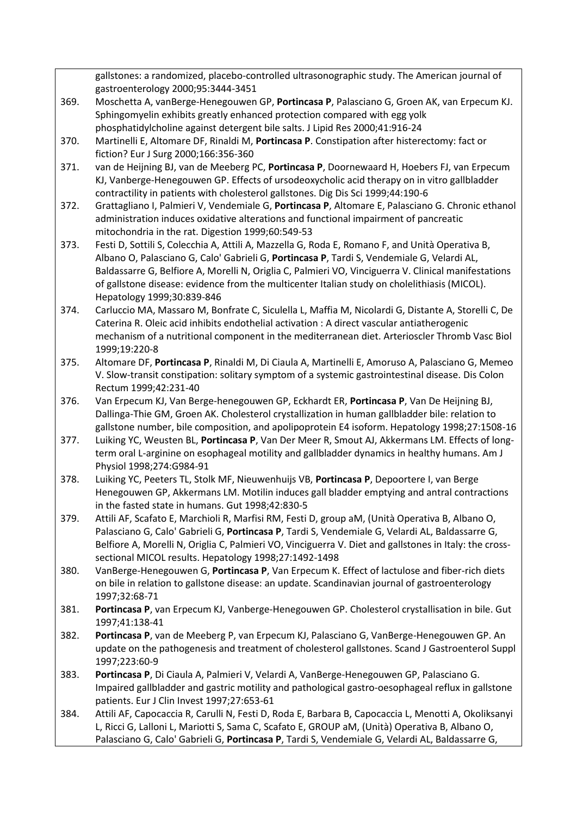gallstones: a randomized, placebo-controlled ultrasonographic study. The American journal of gastroenterology 2000;95:3444-3451

- 369. Moschetta A, vanBerge-Henegouwen GP, **Portincasa P**, Palasciano G, Groen AK, van Erpecum KJ. Sphingomyelin exhibits greatly enhanced protection compared with egg yolk phosphatidylcholine against detergent bile salts. J Lipid Res 2000;41:916-24
- 370. Martinelli E, Altomare DF, Rinaldi M, **Portincasa P**. Constipation after histerectomy: fact or fiction? Eur J Surg 2000;166:356-360
- 371. van de Heijning BJ, van de Meeberg PC, **Portincasa P**, Doornewaard H, Hoebers FJ, van Erpecum KJ, Vanberge-Henegouwen GP. Effects of ursodeoxycholic acid therapy on in vitro gallbladder contractility in patients with cholesterol gallstones. Dig Dis Sci 1999;44:190-6
- 372. Grattagliano I, Palmieri V, Vendemiale G, **Portincasa P**, Altomare E, Palasciano G. Chronic ethanol administration induces oxidative alterations and functional impairment of pancreatic mitochondria in the rat. Digestion 1999;60:549-53
- 373. Festi D, Sottili S, Colecchia A, Attili A, Mazzella G, Roda E, Romano F, and Unità Operativa B, Albano O, Palasciano G, Calo' Gabrieli G, **Portincasa P**, Tardi S, Vendemiale G, Velardi AL, Baldassarre G, Belfiore A, Morelli N, Origlia C, Palmieri VO, Vinciguerra V. Clinical manifestations of gallstone disease: evidence from the multicenter Italian study on cholelithiasis (MICOL). Hepatology 1999;30:839-846
- 374. Carluccio MA, Massaro M, Bonfrate C, Siculella L, Maffia M, Nicolardi G, Distante A, Storelli C, De Caterina R. Oleic acid inhibits endothelial activation : A direct vascular antiatherogenic mechanism of a nutritional component in the mediterranean diet. Arterioscler Thromb Vasc Biol 1999;19:220-8
- 375. Altomare DF, **Portincasa P**, Rinaldi M, Di Ciaula A, Martinelli E, Amoruso A, Palasciano G, Memeo V. Slow-transit constipation: solitary symptom of a systemic gastrointestinal disease. Dis Colon Rectum 1999;42:231-40
- 376. Van Erpecum KJ, Van Berge-henegouwen GP, Eckhardt ER, **Portincasa P**, Van De Heijning BJ, Dallinga-Thie GM, Groen AK. Cholesterol crystallization in human gallbladder bile: relation to gallstone number, bile composition, and apolipoprotein E4 isoform. Hepatology 1998;27:1508-16
- 377. Luiking YC, Weusten BL, **Portincasa P**, Van Der Meer R, Smout AJ, Akkermans LM. Effects of longterm oral L-arginine on esophageal motility and gallbladder dynamics in healthy humans. Am J Physiol 1998;274:G984-91
- 378. Luiking YC, Peeters TL, Stolk MF, Nieuwenhuijs VB, **Portincasa P**, Depoortere I, van Berge Henegouwen GP, Akkermans LM. Motilin induces gall bladder emptying and antral contractions in the fasted state in humans. Gut 1998;42:830-5
- 379. Attili AF, Scafato E, Marchioli R, Marfisi RM, Festi D, group aM, (Unità Operativa B, Albano O, Palasciano G, Calo' Gabrieli G, **Portincasa P**, Tardi S, Vendemiale G, Velardi AL, Baldassarre G, Belfiore A, Morelli N, Origlia C, Palmieri VO, Vinciguerra V. Diet and gallstones in Italy: the crosssectional MICOL results. Hepatology 1998;27:1492-1498
- 380. VanBerge-Henegouwen G, **Portincasa P**, Van Erpecum K. Effect of lactulose and fiber-rich diets on bile in relation to gallstone disease: an update. Scandinavian journal of gastroenterology 1997;32:68-71
- 381. **Portincasa P**, van Erpecum KJ, Vanberge-Henegouwen GP. Cholesterol crystallisation in bile. Gut 1997;41:138-41
- 382. **Portincasa P**, van de Meeberg P, van Erpecum KJ, Palasciano G, VanBerge-Henegouwen GP. An update on the pathogenesis and treatment of cholesterol gallstones. Scand J Gastroenterol Suppl 1997;223:60-9
- 383. **Portincasa P**, Di Ciaula A, Palmieri V, Velardi A, VanBerge-Henegouwen GP, Palasciano G. Impaired gallbladder and gastric motility and pathological gastro-oesophageal reflux in gallstone patients. Eur J Clin Invest 1997;27:653-61
- 384. Attili AF, Capocaccia R, Carulli N, Festi D, Roda E, Barbara B, Capocaccia L, Menotti A, Okoliksanyi L, Ricci G, Lalloni L, Mariotti S, Sama C, Scafato E, GROUP aM, (Unità) Operativa B, Albano O, Palasciano G, Calo' Gabrieli G, **Portincasa P**, Tardi S, Vendemiale G, Velardi AL, Baldassarre G,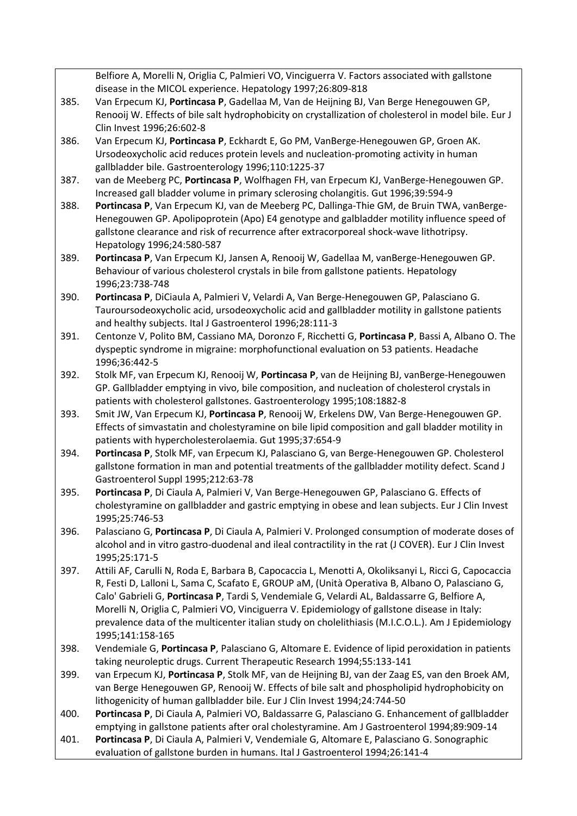|      | Belfiore A, Morelli N, Origlia C, Palmieri VO, Vinciguerra V. Factors associated with gallstone                                                                                                     |
|------|-----------------------------------------------------------------------------------------------------------------------------------------------------------------------------------------------------|
|      | disease in the MICOL experience. Hepatology 1997;26:809-818                                                                                                                                         |
| 385. | Van Erpecum KJ, Portincasa P, Gadellaa M, Van de Heijning BJ, Van Berge Henegouwen GP,                                                                                                              |
|      | Renooij W. Effects of bile salt hydrophobicity on crystallization of cholesterol in model bile. Eur J                                                                                               |
|      | Clin Invest 1996;26:602-8                                                                                                                                                                           |
| 386. | Van Erpecum KJ, Portincasa P, Eckhardt E, Go PM, VanBerge-Henegouwen GP, Groen AK.                                                                                                                  |
|      | Ursodeoxycholic acid reduces protein levels and nucleation-promoting activity in human                                                                                                              |
|      | gallbladder bile. Gastroenterology 1996;110:1225-37                                                                                                                                                 |
| 387. | van de Meeberg PC, Portincasa P, Wolfhagen FH, van Erpecum KJ, VanBerge-Henegouwen GP.                                                                                                              |
|      | Increased gall bladder volume in primary sclerosing cholangitis. Gut 1996;39:594-9                                                                                                                  |
| 388. | Portincasa P, Van Erpecum KJ, van de Meeberg PC, Dallinga-Thie GM, de Bruin TWA, vanBerge-                                                                                                          |
|      | Henegouwen GP. Apolipoprotein (Apo) E4 genotype and galbladder motility influence speed of                                                                                                          |
|      | gallstone clearance and risk of recurrence after extracorporeal shock-wave lithotripsy.                                                                                                             |
|      | Hepatology 1996;24:580-587                                                                                                                                                                          |
| 389. | Portincasa P, Van Erpecum KJ, Jansen A, Renooij W, Gadellaa M, vanBerge-Henegouwen GP.                                                                                                              |
|      | Behaviour of various cholesterol crystals in bile from gallstone patients. Hepatology                                                                                                               |
|      | 1996;23:738-748                                                                                                                                                                                     |
| 390. | Portincasa P, DiCiaula A, Palmieri V, Velardi A, Van Berge-Henegouwen GP, Palasciano G.                                                                                                             |
|      | Tauroursodeoxycholic acid, ursodeoxycholic acid and gallbladder motility in gallstone patients                                                                                                      |
| 391. | and healthy subjects. Ital J Gastroenterol 1996;28:111-3                                                                                                                                            |
|      | Centonze V, Polito BM, Cassiano MA, Doronzo F, Ricchetti G, Portincasa P, Bassi A, Albano O. The<br>dyspeptic syndrome in migraine: morphofunctional evaluation on 53 patients. Headache            |
|      | 1996;36:442-5                                                                                                                                                                                       |
| 392. | Stolk MF, van Erpecum KJ, Renooij W, Portincasa P, van de Heijning BJ, vanBerge-Henegouwen                                                                                                          |
|      | GP. Gallbladder emptying in vivo, bile composition, and nucleation of cholesterol crystals in                                                                                                       |
|      | patients with cholesterol gallstones. Gastroenterology 1995;108:1882-8                                                                                                                              |
| 393. | Smit JW, Van Erpecum KJ, Portincasa P, Renooij W, Erkelens DW, Van Berge-Henegouwen GP.                                                                                                             |
|      | Effects of simvastatin and cholestyramine on bile lipid composition and gall bladder motility in                                                                                                    |
|      | patients with hypercholesterolaemia. Gut 1995;37:654-9                                                                                                                                              |
| 394. | Portincasa P, Stolk MF, van Erpecum KJ, Palasciano G, van Berge-Henegouwen GP. Cholesterol                                                                                                          |
|      | gallstone formation in man and potential treatments of the gallbladder motility defect. Scand J                                                                                                     |
|      | Gastroenterol Suppl 1995;212:63-78                                                                                                                                                                  |
| 395. | Portincasa P, Di Ciaula A, Palmieri V, Van Berge-Henegouwen GP, Palasciano G. Effects of                                                                                                            |
|      | cholestyramine on gallbladder and gastric emptying in obese and lean subjects. Eur J Clin Invest                                                                                                    |
|      | 1995;25:746-53                                                                                                                                                                                      |
| 396. | Palasciano G, Portincasa P, Di Ciaula A, Palmieri V. Prolonged consumption of moderate doses of                                                                                                     |
|      | alcohol and in vitro gastro-duodenal and ileal contractility in the rat (J COVER). Eur J Clin Invest                                                                                                |
|      | 1995;25:171-5                                                                                                                                                                                       |
| 397. | Attili AF, Carulli N, Roda E, Barbara B, Capocaccia L, Menotti A, Okoliksanyi L, Ricci G, Capocaccia                                                                                                |
|      | R, Festi D, Lalloni L, Sama C, Scafato E, GROUP aM, (Unità Operativa B, Albano O, Palasciano G,                                                                                                     |
|      | Calo' Gabrieli G, Portincasa P, Tardi S, Vendemiale G, Velardi AL, Baldassarre G, Belfiore A,                                                                                                       |
|      | Morelli N, Origlia C, Palmieri VO, Vinciguerra V. Epidemiology of gallstone disease in Italy:<br>prevalence data of the multicenter italian study on cholelithiasis (M.I.C.O.L.). Am J Epidemiology |
|      | 1995;141:158-165                                                                                                                                                                                    |
| 398. | Vendemiale G, Portincasa P, Palasciano G, Altomare E. Evidence of lipid peroxidation in patients                                                                                                    |
|      | taking neuroleptic drugs. Current Therapeutic Research 1994;55:133-141                                                                                                                              |
| 399. | van Erpecum KJ, Portincasa P, Stolk MF, van de Heijning BJ, van der Zaag ES, van den Broek AM,                                                                                                      |
|      | van Berge Henegouwen GP, Renooij W. Effects of bile salt and phospholipid hydrophobicity on                                                                                                         |
|      | lithogenicity of human gallbladder bile. Eur J Clin Invest 1994;24:744-50                                                                                                                           |
| 400. | Portincasa P, Di Ciaula A, Palmieri VO, Baldassarre G, Palasciano G. Enhancement of gallbladder                                                                                                     |
|      | emptying in gallstone patients after oral cholestyramine. Am J Gastroenterol 1994;89:909-14                                                                                                         |
| 401. | Portincasa P, Di Ciaula A, Palmieri V, Vendemiale G, Altomare E, Palasciano G. Sonographic                                                                                                          |
|      | evaluation of gallstone burden in humans. Ital J Gastroenterol 1994;26:141-4                                                                                                                        |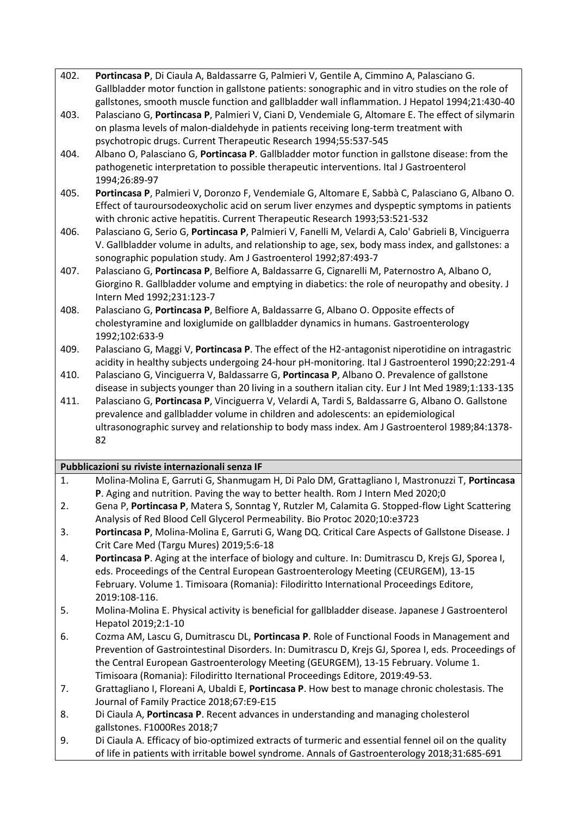| 402. | Portincasa P, Di Ciaula A, Baldassarre G, Palmieri V, Gentile A, Cimmino A, Palasciano G.         |
|------|---------------------------------------------------------------------------------------------------|
|      | Gallbladder motor function in gallstone patients: sonographic and in vitro studies on the role of |
|      | gallstones, smooth muscle function and gallbladder wall inflammation. J Hepatol 1994;21:430-40    |

- 403. Palasciano G, **Portincasa P**, Palmieri V, Ciani D, Vendemiale G, Altomare E. The effect of silymarin on plasma levels of malon-dialdehyde in patients receiving long-term treatment with psychotropic drugs. Current Therapeutic Research 1994;55:537-545
- 404. Albano O, Palasciano G, **Portincasa P**. Gallbladder motor function in gallstone disease: from the pathogenetic interpretation to possible therapeutic interventions. Ital J Gastroenterol 1994;26:89-97
- 405. **Portincasa P**, Palmieri V, Doronzo F, Vendemiale G, Altomare E, Sabbà C, Palasciano G, Albano O. Effect of tauroursodeoxycholic acid on serum liver enzymes and dyspeptic symptoms in patients with chronic active hepatitis. Current Therapeutic Research 1993;53:521-532
- 406. Palasciano G, Serio G, **Portincasa P**, Palmieri V, Fanelli M, Velardi A, Calo' Gabrieli B, Vinciguerra V. Gallbladder volume in adults, and relationship to age, sex, body mass index, and gallstones: a sonographic population study. Am J Gastroenterol 1992;87:493-7
- 407. Palasciano G, **Portincasa P**, Belfiore A, Baldassarre G, Cignarelli M, Paternostro A, Albano O, Giorgino R. Gallbladder volume and emptying in diabetics: the role of neuropathy and obesity. J Intern Med 1992;231:123-7
- 408. Palasciano G, **Portincasa P**, Belfiore A, Baldassarre G, Albano O. Opposite effects of cholestyramine and loxiglumide on gallbladder dynamics in humans. Gastroenterology 1992;102:633-9
- 409. Palasciano G, Maggi V, **Portincasa P**. The effect of the H2-antagonist niperotidine on intragastric acidity in healthy subjects undergoing 24-hour pH-monitoring. Ital J Gastroenterol 1990;22:291-4
- 410. Palasciano G, Vinciguerra V, Baldassarre G, **Portincasa P**, Albano O. Prevalence of gallstone disease in subjects younger than 20 living in a southern italian city. Eur J Int Med 1989;1:133-135
- 411. Palasciano G, **Portincasa P**, Vinciguerra V, Velardi A, Tardi S, Baldassarre G, Albano O. Gallstone prevalence and gallbladder volume in children and adolescents: an epidemiological ultrasonographic survey and relationship to body mass index. Am J Gastroenterol 1989;84:1378- 82

#### **Pubblicazioni su riviste internazionali senza IF**

- 1. Molina-Molina E, Garruti G, Shanmugam H, Di Palo DM, Grattagliano I, Mastronuzzi T, **Portincasa P**. Aging and nutrition. Paving the way to better health. Rom J Intern Med 2020;0
- 2. Gena P, **Portincasa P**, Matera S, Sonntag Y, Rutzler M, Calamita G. Stopped-flow Light Scattering Analysis of Red Blood Cell Glycerol Permeability. Bio Protoc 2020;10:e3723
- 3. **Portincasa P**, Molina-Molina E, Garruti G, Wang DQ. Critical Care Aspects of Gallstone Disease. J Crit Care Med (Targu Mures) 2019;5:6-18
- 4. **Portincasa P**. Aging at the interface of biology and culture. In: Dumitrascu D, Krejs GJ, Sporea I, eds. Proceedings of the Central European Gastroenterology Meeting (CEURGEM), 13-15 February. Volume 1. Timisoara (Romania): Filodiritto International Proceedings Editore, 2019:108-116.
- 5. Molina-Molina E. Physical activity is beneficial for gallbladder disease. Japanese J Gastroenterol Hepatol 2019;2:1-10
- 6. Cozma AM, Lascu G, Dumitrascu DL, **Portincasa P**. Role of Functional Foods in Management and Prevention of Gastrointestinal Disorders. In: Dumitrascu D, Krejs GJ, Sporea I, eds. Proceedings of the Central European Gastroenterology Meeting (GEURGEM), 13-15 February. Volume 1. Timisoara (Romania): Filodiritto Iternational Proceedings Editore, 2019:49-53.
- 7. Grattagliano I, Floreani A, Ubaldi E, **Portincasa P**. How best to manage chronic cholestasis. The Journal of Family Practice 2018;67:E9-E15
- 8. Di Ciaula A, **Portincasa P**. Recent advances in understanding and managing cholesterol gallstones. F1000Res 2018;7
- 9. Di Ciaula A. Efficacy of bio-optimized extracts of turmeric and essential fennel oil on the quality of life in patients with irritable bowel syndrome. Annals of Gastroenterology 2018;31:685-691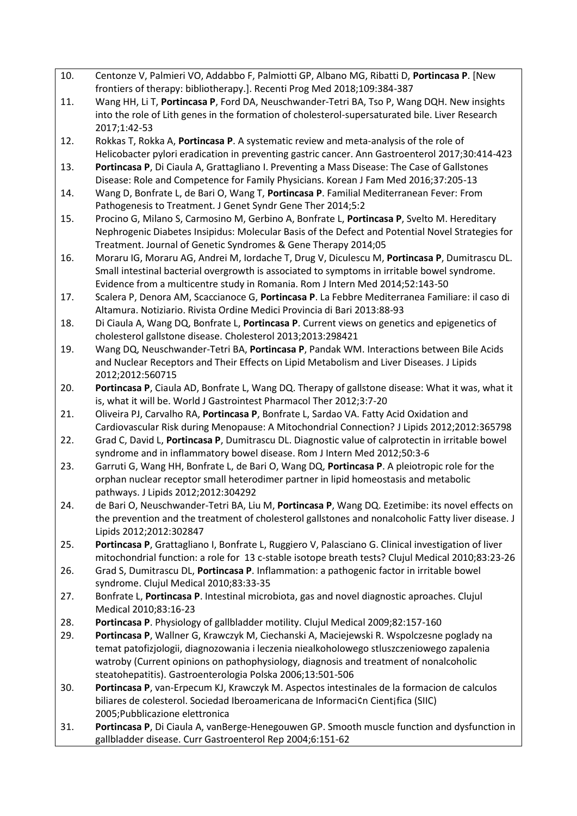- 10. Centonze V, Palmieri VO, Addabbo F, Palmiotti GP, Albano MG, Ribatti D, **Portincasa P**. [New frontiers of therapy: bibliotherapy.]. Recenti Prog Med 2018;109:384-387
- 11. Wang HH, Li T, **Portincasa P**, Ford DA, Neuschwander-Tetri BA, Tso P, Wang DQH. New insights into the role of Lith genes in the formation of cholesterol-supersaturated bile. Liver Research 2017;1:42-53
- 12. Rokkas T, Rokka A, **Portincasa P**. A systematic review and meta-analysis of the role of Helicobacter pylori eradication in preventing gastric cancer. Ann Gastroenterol 2017;30:414-423
- 13. **Portincasa P**, Di Ciaula A, Grattagliano I. Preventing a Mass Disease: The Case of Gallstones Disease: Role and Competence for Family Physicians. Korean J Fam Med 2016;37:205-13
- 14. Wang D, Bonfrate L, de Bari O, Wang T, **Portincasa P**. Familial Mediterranean Fever: From Pathogenesis to Treatment. J Genet Syndr Gene Ther 2014;5:2
- 15. Procino G, Milano S, Carmosino M, Gerbino A, Bonfrate L, **Portincasa P**, Svelto M. Hereditary Nephrogenic Diabetes Insipidus: Molecular Basis of the Defect and Potential Novel Strategies for Treatment. Journal of Genetic Syndromes & Gene Therapy 2014;05
- 16. Moraru IG, Moraru AG, Andrei M, Iordache T, Drug V, Diculescu M, **Portincasa P**, Dumitrascu DL. Small intestinal bacterial overgrowth is associated to symptoms in irritable bowel syndrome. Evidence from a multicentre study in Romania. Rom J Intern Med 2014;52:143-50
- 17. Scalera P, Denora AM, Scaccianoce G, **Portincasa P**. La Febbre Mediterranea Familiare: il caso di Altamura. Notiziario. Rivista Ordine Medici Provincia di Bari 2013:88-93
- 18. Di Ciaula A, Wang DQ, Bonfrate L, **Portincasa P**. Current views on genetics and epigenetics of cholesterol gallstone disease. Cholesterol 2013;2013:298421
- 19. Wang DQ, Neuschwander-Tetri BA, **Portincasa P**, Pandak WM. Interactions between Bile Acids and Nuclear Receptors and Their Effects on Lipid Metabolism and Liver Diseases. J Lipids 2012;2012:560715
- 20. **Portincasa P**, Ciaula AD, Bonfrate L, Wang DQ. Therapy of gallstone disease: What it was, what it is, what it will be. World J Gastrointest Pharmacol Ther 2012;3:7-20
- 21. Oliveira PJ, Carvalho RA, **Portincasa P**, Bonfrate L, Sardao VA. Fatty Acid Oxidation and Cardiovascular Risk during Menopause: A Mitochondrial Connection? J Lipids 2012;2012:365798
- 22. Grad C, David L, **Portincasa P**, Dumitrascu DL. Diagnostic value of calprotectin in irritable bowel syndrome and in inflammatory bowel disease. Rom J Intern Med 2012;50:3-6
- 23. Garruti G, Wang HH, Bonfrate L, de Bari O, Wang DQ, **Portincasa P**. A pleiotropic role for the orphan nuclear receptor small heterodimer partner in lipid homeostasis and metabolic pathways. J Lipids 2012;2012:304292
- 24. de Bari O, Neuschwander-Tetri BA, Liu M, **Portincasa P**, Wang DQ. Ezetimibe: its novel effects on the prevention and the treatment of cholesterol gallstones and nonalcoholic Fatty liver disease. J Lipids 2012;2012:302847
- 25. **Portincasa P**, Grattagliano I, Bonfrate L, Ruggiero V, Palasciano G. Clinical investigation of liver mitochondrial function: a role for 13 c-stable isotope breath tests? Clujul Medical 2010;83:23-26
- 26. Grad S, Dumitrascu DL, **Portincasa P**. Inflammation: a pathogenic factor in irritable bowel syndrome. Clujul Medical 2010;83:33-35
- 27. Bonfrate L, **Portincasa P**. Intestinal microbiota, gas and novel diagnostic aproaches. Clujul Medical 2010;83:16-23
- 28. **Portincasa P**. Physiology of gallbladder motility. Clujul Medical 2009;82:157-160
- 29. **Portincasa P**, Wallner G, Krawczyk M, Ciechanski A, Maciejewski R. Wspolczesne poglady na temat patofizjologii, diagnozowania i leczenia niealkoholowego stluszczeniowego zapalenia watroby (Current opinions on pathophysiology, diagnosis and treatment of nonalcoholic steatohepatitis). Gastroenterologia Polska 2006;13:501-506
- 30. **Portincasa P**, van-Erpecum KJ, Krawczyk M. Aspectos intestinales de la formacion de calculos biliares de colesterol. Sociedad Iberoamericana de Informaci¢n Cientifica (SIIC) 2005;Pubblicazione elettronica
- 31. **Portincasa P**, Di Ciaula A, vanBerge-Henegouwen GP. Smooth muscle function and dysfunction in gallbladder disease. Curr Gastroenterol Rep 2004;6:151-62